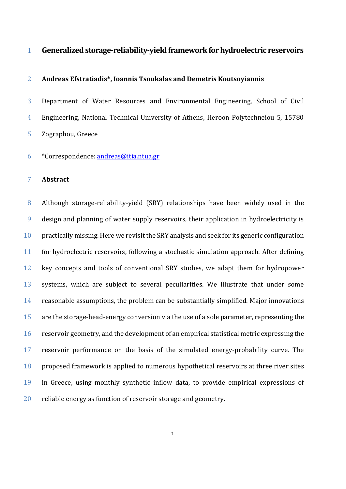# **Generalizedstorage-reliability-yield frameworkfor hydroelectric reservoirs**

# **Andreas Efstratiadis\*, Ioannis Tsoukalas and Demetris Koutsoyiannis**

 Department of Water Resources and Environmental Engineering, School of Civil Engineering, National Technical University of Athens, Heroon Polytechneiou 5, 15780 Zographou, Greece

\*Correspondence: [andreas@itia.ntua.gr](mailto:andreas@itia.ntua.gr)

# **Abstract**

 Although storage-reliability-yield (SRY) relationships have been widely used in the design and planning of water supply reservoirs, their application in hydroelectricity is 10 practically missing. Here we revisit the SRY analysis and seek for its generic configuration for hydroelectric reservoirs, following a stochastic simulation approach. After defining key concepts and tools of conventional SRY studies, we adapt them for hydropower systems, which are subject to several peculiarities. We illustrate that under some reasonable assumptions, the problem can be substantially simplified. Major innovations are the storage-head-energy conversion via the use of a sole parameter, representing the reservoir geometry, and the development of an empirical statistical metric expressing the reservoir performance on the basis of the simulated energy-probability curve. The proposed framework is applied to numerous hypothetical reservoirs at three river sites in Greece, using monthly synthetic inflow data, to provide empirical expressions of reliable energy as function of reservoir storage and geometry.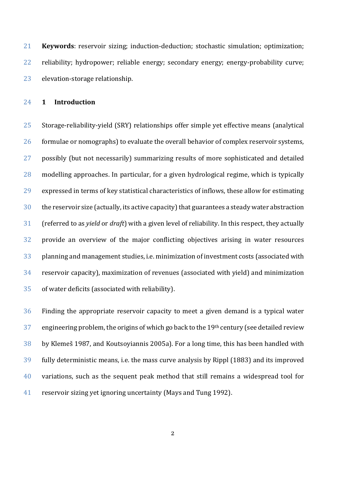**Keywords**: reservoir sizing; induction-deduction; stochastic simulation; optimization; reliability; hydropower; reliable energy; secondary energy; energy-probability curve; elevation-storage relationship.

**1 Introduction**

 Storage-reliability-yield (SRY) relationships offer simple yet effective means (analytical formulae or nomographs) to evaluate the overall behavior of complex reservoir systems, possibly (but not necessarily) summarizing results of more sophisticated and detailed modelling approaches. In particular, for a given hydrological regime, which is typically expressed in terms of key statistical characteristics of inflows, these allow for estimating the reservoir size (actually, its active capacity) that guarantees a steady water abstraction (referred to as *yield* or *draft*) with a given level of reliability. In this respect, they actually provide an overview of the major conflicting objectives arising in water resources planning and management studies, i.e. minimization of investment costs (associated with reservoir capacity), maximization of revenues (associated with yield) and minimization of water deficits (associated with reliability).

 Finding the appropriate reservoir capacity to meet a given demand is a typical water 37 engineering problem, the origins of which go back to the  $19<sup>th</sup>$  century (see detailed review by Klemeš 1987, and Koutsoyiannis 2005a). For a long time, this has been handled with fully deterministic means, i.e. the mass curve analysis by Rippl (1883) and its improved variations, such as the sequent peak method that still remains a widespread tool for reservoir sizing yet ignoring uncertainty (Mays and Tung 1992).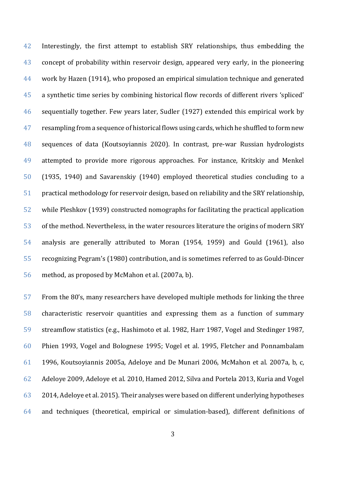42 Interestingly, the first attempt to establish SRY relationships, thus embedding the concept of probability within reservoir design, appeared very early, in the pioneering work by Hazen (1914), who proposed an empirical simulation technique and generated a synthetic time series by combining historical flow records of different rivers 'spliced' sequentially together. Few years later, Sudler (1927) extended this empirical work by 47 resampling from a sequence of historical flows using cards, which he shuffled to form new sequences of data (Koutsoyiannis 2020). In contrast, pre-war Russian hydrologists attempted to provide more rigorous approaches. For instance, Kritskiy and Menkel (1935, 1940) and Savarenskiy (1940) employed theoretical studies concluding to a practical methodology for reservoir design, based on reliability and the SRY relationship, while Pleshkov (1939) constructed nomographs for facilitating the practical application of the method. Nevertheless, in the water resources literature the origins of modern SRY analysis are generally attributed to Moran (1954, 1959) and Gould (1961), also recognizing Pegram's (1980) contribution, and is sometimes referred to as Gould-Dincer method, as proposed by McMahon et al. (2007a, b).

 From the 80's, many researchers have developed multiple methods for linking the three characteristic reservoir quantities and expressing them as a function of summary streamflow statistics (e.g., Hashimoto et al. 1982, Harr 1987, Vogel and Stedinger 1987, Phien 1993, Vogel and Bolognese 1995; Vogel et al. 1995, Fletcher and Ponnambalam 1996, Koutsoyiannis 2005a, Adeloye and De Munari 2006, McMahon et al. 2007a, b, c, Adeloye 2009, Adeloye et al. 2010, Hamed 2012, Silva and Portela 2013, Kuria and Vogel 2014, Adeloye et al. 2015). Their analyses were based on different underlying hypotheses and techniques (theoretical, empirical or simulation-based), different definitions of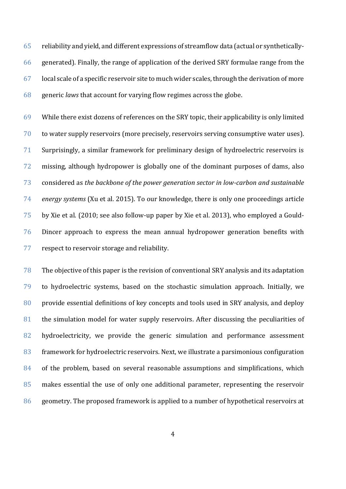reliability and yield, and different expressions of streamflow data (actual or synthetically- generated). Finally, the range of application of the derived SRY formulae range from the local scale of a specific reservoir site to much wider scales, through the derivation of more generic *laws* that account for varying flow regimes across the globe.

 While there exist dozens of references on the SRY topic, their applicability is only limited to water supply reservoirs (more precisely, reservoirs serving consumptive water uses). Surprisingly, a similar framework for preliminary design of hydroelectric reservoirs is missing, although hydropower is globally one of the dominant purposes of dams, also considered as *the backbone of the power generation sector in low-carbon and sustainable energy systems* (Xu et al. 2015). To our knowledge, there is only one proceedings article by Xie et al. (2010; see also follow-up paper by Xie et al. 2013), who employed a Gould- Dincer approach to express the mean annual hydropower generation benefits with respect to reservoir storage and reliability.

 The objective of this paper is the revision of conventional SRY analysis and its adaptation to hydroelectric systems, based on the stochastic simulation approach. Initially, we provide essential definitions of key concepts and tools used in SRY analysis, and deploy the simulation model for water supply reservoirs. After discussing the peculiarities of 82 hydroelectricity, we provide the generic simulation and performance assessment framework for hydroelectric reservoirs. Next, we illustrate a parsimonious configuration 84 of the problem, based on several reasonable assumptions and simplifications, which makes essential the use of only one additional parameter, representing the reservoir geometry. The proposed framework is applied to a number of hypothetical reservoirs at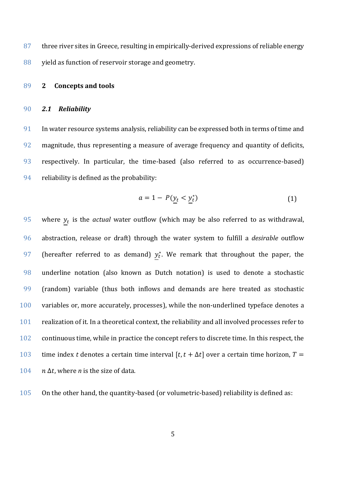87 three river sites in Greece, resulting in empirically-derived expressions of reliable energy yield as function of reservoir storage and geometry.

### **2 Concepts and tools**

#### *2.1 Reliability*

 In water resource systems analysis, reliability can be expressed both in terms of time and magnitude, thus representing a measure of average frequency and quantity of deficits, respectively. In particular, the time-based (also referred to as occurrence-based) reliability is defined as the probability:

$$
a = 1 - P(\underline{y}_t < \underline{y}_t^*) \tag{1}
$$

95 where  $y_t$  is the *actual* water outflow (which may be also referred to as withdrawal, abstraction, release or draft) through the water system to fulfill a *desirable* outflow 97 (hereafter referred to as demand)  $y_t^*$ . We remark that throughout the paper, the underline notation (also known as Dutch notation) is used to denote a stochastic (random) variable (thus both inflows and demands are here treated as stochastic variables or, more accurately, processes), while the non-underlined typeface denotes a realization of it. In a theoretical context, the reliability and all involved processes refer to continuous time, while in practice the concept refers to discrete time. In this respect, the 103 time index *t* denotes a certain time interval  $[t, t + \Delta t]$  over a certain time horizon,  $T =$  $n \Delta t$ , where *n* is the size of data.

On the other hand, the quantity-based (or volumetric-based) reliability is defined as: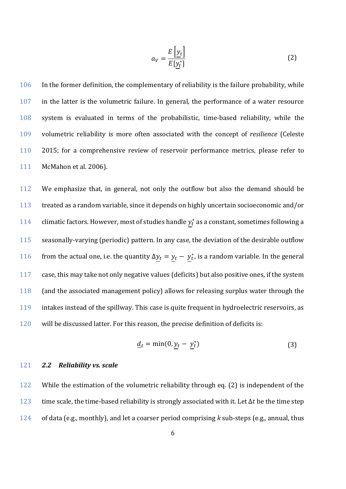<span id="page-5-0"></span>
$$
a_V = \frac{E\left[\underline{y}_t\right]}{E\left[\underline{y}_t^*\right]} \tag{2}
$$

 In the former definition, the complementary of reliability is the failure probability, while in the latter is the volumetric failure. In general, the performance of a water resource system is evaluated in terms of the probabilistic, time-based reliability, while the volumetric reliability is more often associated with the concept of *resilience* (Celeste 2015; for a comprehensive review of reservoir performance metrics, please refer to McMahon et al. 2006).

 We emphasize that, in general, not only the outflow but also the demand should be treated as a random variable, since it depends on highly uncertain socioeconomic and/or 114 climatic factors. However, most of studies handle  $y_t^*$  as a constant, sometimes following a seasonally-varying (periodic) pattern. In any case, the deviation of the desirable outflow 116 from the actual one, i.e. the quantity  $\Delta y_t = y_t - y_t^*$ , is a random variable. In the general case, this may take not only negative values (deficits) but also positive ones, if the system (and the associated management policy) allows for releasing surplus water through the intakes instead of the spillway. This case is quite frequent in hydroelectric reservoirs, as will be discussed latter. For this reason, the precise definition of deficits is:

$$
\underline{d}_t = \min(0, \underline{y}_t - \underline{y}_t^*)
$$
\n(3)

# 121 *2.2 Reliability vs. scale*

122 While the estimation of the volumetric reliability through eq. [\(2\)](#page-5-0) is independent of the 123 time scale, the time-based reliability is strongly associated with it. Let  $\Delta t$  be the time step 124 of data (e.g., monthly), and let a coarser period comprising *k* sub-steps (e.g., annual, thus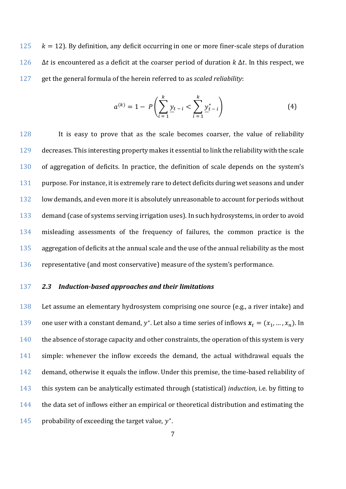$125$   $k = 12$ ). By definition, any deficit occurring in one or more finer-scale steps of duration 126  $\Delta t$  is encountered as a deficit at the coarser period of duration  $k \Delta t$ . In this respect, we 127 get the general formula of the herein referred to as *scaled reliability*:

$$
a^{(k)} = 1 - P\left(\sum_{i=1}^{k} \underline{y}_{t-i} < \sum_{i=1}^{k} \underline{y}_{t-i}^{*}\right) \tag{4}
$$

 It is easy to prove that as the scale becomes coarser, the value of reliability decreases. This interesting property makes it essential to link the reliability with the scale of aggregation of deficits. In practice, the definition of scale depends on the system's 131 purpose. For instance, it is extremely rare to detect deficits during wet seasons and under low demands, and even more it is absolutely unreasonable to account for periods without demand (case of systems serving irrigation uses). In such hydrosystems, in order to avoid misleading assessments of the frequency of failures, the common practice is the 135 aggregation of deficits at the annual scale and the use of the annual reliability as the most representative (and most conservative) measure of the system's performance.

# 137 *2.3 Induction-based approaches and their limitations*

138 Let assume an elementary hydrosystem comprising one source (e.g., a river intake) and 139 one user with a constant demand,  $y^*$ . Let also a time series of inflows  $x_t = (x_1, ..., x_n)$ . In 140 the absence of storage capacity and other constraints, the operation of this system is very 141 simple: whenever the inflow exceeds the demand, the actual withdrawal equals the 142 demand, otherwise it equals the inflow. Under this premise, the time-based reliability of 143 this system can be analytically estimated through (statistical) *induction*, i.e. by fitting to 144 the data set of inflows either an empirical or theoretical distribution and estimating the 145 probability of exceeding the target value,  $y^*$ .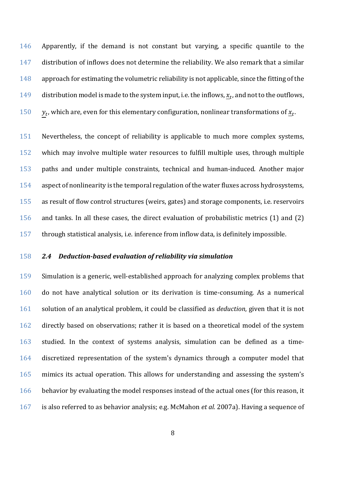Apparently, if the demand is not constant but varying, a specific quantile to the distribution of inflows does not determine the reliability. We also remark that a similar 148 approach for estimating the volumetric reliability is not applicable, since the fitting of the 149 distribution model is made to the system input, i.e. the inflows,  $x_t$ , and not to the outflows,  $y_t$ , which are, even for this elementary configuration, nonlinear transformations of  $\underline{x}_t$ .

 Nevertheless, the concept of reliability is applicable to much more complex systems, which may involve multiple water resources to fulfill multiple uses, through multiple paths and under multiple constraints, technical and human-induced. Another major aspect of nonlinearity is the temporal regulation of the water fluxes across hydrosystems, as result of flow control structures (weirs, gates) and storage components, i.e. reservoirs and tanks. In all these cases, the direct evaluation of probabilistic metrics (1) and (2) through statistical analysis, i.e. inference from inflow data, is definitely impossible.

# *2.4 Deduction-based evaluation of reliability via simulation*

 Simulation is a generic, well-established approach for analyzing complex problems that do not have analytical solution or its derivation is time-consuming. As a numerical solution of an analytical problem, it could be classified as *deduction*, given that it is not directly based on observations; rather it is based on a theoretical model of the system studied. In the context of systems analysis, simulation can be defined as a time- discretized representation of the system's dynamics through a computer model that mimics its actual operation. This allows for understanding and assessing the system's 166 behavior by evaluating the model responses instead of the actual ones (for this reason, it is also referred to as behavior analysis; e.g. McMahon *et al.* 2007a). Having a sequence of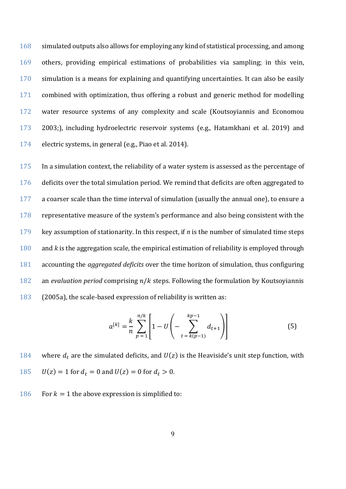168 simulated outputs also allows for employing any kind of statistical processing, and among others, providing empirical estimations of probabilities via sampling; in this vein, simulation is a means for explaining and quantifying uncertainties. It can also be easily combined with optimization, thus offering a robust and generic method for modelling water resource systems of any complexity and scale (Koutsoyiannis and Economou 2003;), including hydroelectric reservoir systems (e.g., Hatamkhani et al. 2019) and electric systems, in general (e.g., Piao et al. 2014).

 In a simulation context, the reliability of a water system is assessed as the percentage of deficits over the total simulation period. We remind that deficits are often aggregated to a coarser scale than the time interval of simulation (usually the annual one), to ensure a representative measure of the system's performance and also being consistent with the key assumption of stationarity. In this respect, if *n* is the number of simulated time steps and *k* is the aggregation scale, the empirical estimation of reliability is employed through accounting the *aggregated deficits* over the time horizon of simulation, thus configuring 182 an *evaluation period* comprising  $n/k$  steps. Following the formulation by Koutsoyiannis (2005a), the scale-based expression of reliability is written as:

<span id="page-8-0"></span>
$$
a^{[k]} = \frac{k}{n} \sum_{p=1}^{n/k} \left[ 1 - U \left( - \sum_{t=k(p-1)}^{kp-1} d_{t+1} \right) \right]
$$
(5)

184 where  $d_t$  are the simulated deficits, and  $U(z)$  is the Heaviside's unit step function, with 185  $U(z) = 1$  for  $d_t = 0$  and  $U(z) = 0$  for  $d_t > 0$ .

186 For  $k = 1$  the above expression is simplified to: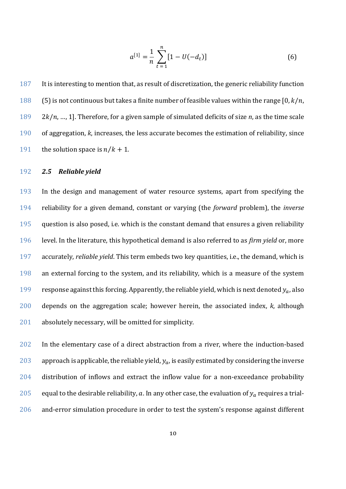<span id="page-9-0"></span>
$$
a^{[1]} = \frac{1}{n} \sum_{t=1}^{n} [1 - U(-d_t)] \tag{6}
$$

187 It is interesting to mention that, as result of discretization, the generic reliability function 188 (5) is not continuous but takes a finite number of feasible values within the range  $[0, k/n]$ . 189 2 $k/n$ , ..., 1]. Therefore, for a given sample of simulated deficits of size *n*, as the time scale 190 of aggregation, *k*, increases, the less accurate becomes the estimation of reliability, since 191 the solution space is  $n/k + 1$ .

# 192 *2.5 Reliable yield*

 In the design and management of water resource systems, apart from specifying the reliability for a given demand, constant or varying (the *forward* problem), the *inverse* 195 question is also posed, i.e. which is the constant demand that ensures a given reliability level. In the literature, this hypothetical demand is also referred to as *firm yield* or, more accurately, *reliable yield*. This term embeds two key quantities, i.e., the demand, which is an external forcing to the system, and its reliability, which is a measure of the system 199 response against this forcing. Apparently, the reliable yield, which is next denoted  $y_a$ , also depends on the aggregation scale; however herein, the associated index, *k*, although 201 absolutely necessary, will be omitted for simplicity.

202 In the elementary case of a direct abstraction from a river, where the induction-based 203 approach is applicable, the reliable yield,  $y_a$ , is easily estimated by considering the inverse 204 distribution of inflows and extract the inflow value for a non-exceedance probability 205 equal to the desirable reliability,  $a$ . In any other case, the evaluation of  $y_a$  requires a trial-206 and-error simulation procedure in order to test the system's response against different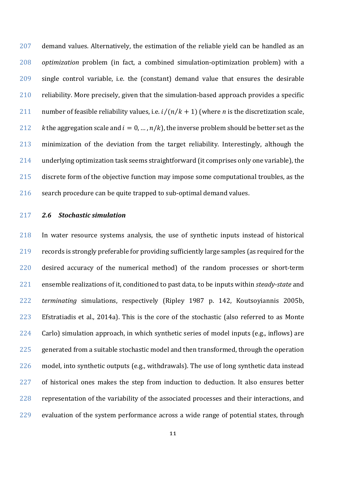demand values. Alternatively, the estimation of the reliable yield can be handled as an *optimization* problem (in fact, a combined simulation-optimization problem) with a single control variable, i.e. the (constant) demand value that ensures the desirable reliability. More precisely, given that the simulation-based approach provides a specific 211 number of feasible reliability values, i.e.  $i/(n/k + 1)$  (where *n* is the discretization scale, *k* the aggregation scale and  $i = 0, ..., n/k$ , the inverse problem should be better set as the minimization of the deviation from the target reliability. Interestingly, although the underlying optimization task seems straightforward (it comprises only one variable), the discrete form of the objective function may impose some computational troubles, as the search procedure can be quite trapped to sub-optimal demand values.

# *2.6 Stochastic simulation*

 In water resource systems analysis, the use of synthetic inputs instead of historical records is strongly preferable for providing sufficiently large samples (as required for the desired accuracy of the numerical method) of the random processes or short-term ensemble realizations of it, conditioned to past data, to be inputs within *steady-state* and *terminating* simulations, respectively (Ripley 1987 p. 142, Koutsoyiannis 2005b, Efstratiadis et al., 2014a). This is the core of the stochastic (also referred to as Monte Carlo) simulation approach, in which synthetic series of model inputs (e.g., inflows) are generated from a suitable stochastic model and then transformed, through the operation model, into synthetic outputs (e.g., withdrawals). The use of long synthetic data instead 227 of historical ones makes the step from induction to deduction. It also ensures better representation of the variability of the associated processes and their interactions, and evaluation of the system performance across a wide range of potential states, through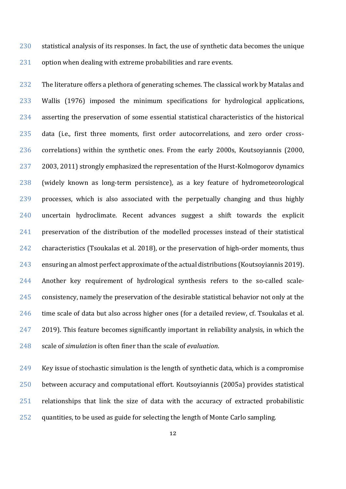statistical analysis of its responses. In fact, the use of synthetic data becomes the unique 231 option when dealing with extreme probabilities and rare events.

232 The literature offers a plethora of generating schemes. The classical work by Matalas and Wallis (1976) imposed the minimum specifications for hydrological applications, asserting the preservation of some essential statistical characteristics of the historical data (i.e., first three moments, first order autocorrelations, and zero order cross- correlations) within the synthetic ones. From the early 2000s, Koutsoyiannis (2000, 2003, 2011) strongly emphasized the representation of the Hurst-Kolmogorov dynamics (widely known as long-term persistence), as a key feature of hydrometeorological processes, which is also associated with the perpetually changing and thus highly uncertain hydroclimate. Recent advances suggest a shift towards the explicit preservation of the distribution of the modelled processes instead of their statistical characteristics (Tsoukalas et al. 2018), or the preservation of high-order moments, thus ensuring an almost perfect approximate of the actual distributions (Koutsoyiannis 2019). Another key requirement of hydrological synthesis refers to the so-called scale- consistency, namely the preservation of the desirable statistical behavior not only at the time scale of data but also across higher ones (for a detailed review, cf. Tsoukalas et al. 2019). This feature becomes significantly important in reliability analysis, in which the scale of *simulation* is often finer than the scale of *evaluation*.

 Key issue of stochastic simulation is the length of synthetic data, which is a compromise between accuracy and computational effort. Koutsoyiannis (2005a) provides statistical relationships that link the size of data with the accuracy of extracted probabilistic quantities, to be used as guide for selecting the length of Monte Carlo sampling.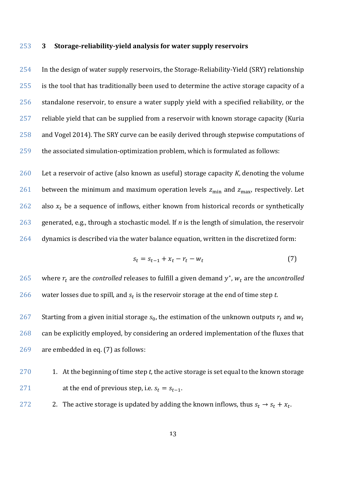### **3 Storage-reliability-yield analysis for water supply reservoirs**

 In the design of water supply reservoirs, the Storage-Reliability-Yield (SRY) relationship is the tool that has traditionally been used to determine the active storage capacity of a standalone reservoir, to ensure a water supply yield with a specified reliability, or the reliable yield that can be supplied from a reservoir with known storage capacity (Kuria and Vogel 2014). The SRY curve can be easily derived through stepwise computations of the associated simulation-optimization problem, which is formulated as follows:

 Let a reservoir of active (also known as useful) storage capacity *K*, denoting the volume 261 between the minimum and maximum operation levels  $z_{\text{min}}$  and  $z_{\text{max}}$ , respectively. Let 262 also  $x_t$  be a sequence of inflows, either known from historical records or synthetically generated, e.g., through a stochastic model. If *n* is the length of simulation, the reservoir dynamics is described via the water balance equation, written in the discretized form:

<span id="page-12-0"></span>
$$
s_t = s_{t-1} + x_t - r_t - w_t \tag{7}
$$

265 where  $r_t$  are the *controlled* releases to fulfill a given demand  $y^*$ ,  $w_t$  are the *uncontrolled* 266 water losses due to spill, and  $s_t$  is the reservoir storage at the end of time step  $t$ .

267 Starting from a given initial storage  $s_0$ , the estimation of the unknown outputs  $r_t$  and  $w_t$  can be explicitly employed, by considering an ordered implementation of the fluxes that are embedded in eq. [\(7\)](#page-12-0) as follows:

- 1. At the beginning of time step *t*, the active storage is set equal to the known storage 271 at the end of previous step, i.e.  $s_t = s_{t-1}$ .
- 272 2. The active storage is updated by adding the known inflows, thus  $s_t \rightarrow s_t + x_t$ .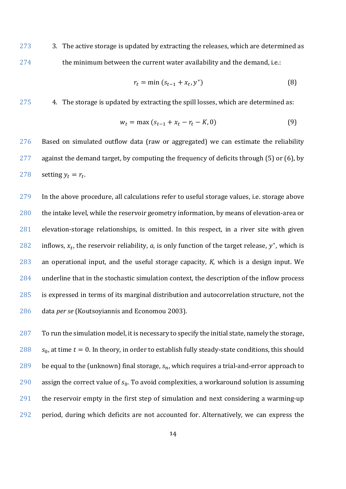273 3. The active storage is updated by extracting the releases, which are determined as 274 the minimum between the current water availability and the demand, i.e.:

$$
r_t = \min(s_{t-1} + x_t, y^*)
$$
 (8)

275 4. The storage is updated by extracting the spill losses, which are determined as:

$$
w_t = \max (s_{t-1} + x_t - r_t - K, 0)
$$
 (9)

276 Based on simulated outflow data (raw or aggregated) we can estimate the reliability 277 against the demand target, by computing the frequency of deficits through [\(5\)](#page-8-0) or [\(6\)](#page-9-0), by 278 setting  $y_t = r_t$ .

 In the above procedure, all calculations refer to useful storage values, i.e. storage above 280 the intake level, while the reservoir geometry information, by means of elevation-area or elevation-storage relationships, is omitted. In this respect, in a river site with given 282 inflows,  $x_t$ , the reservoir reliability, *a*, is only function of the target release,  $y^*$ , which is an operational input, and the useful storage capacity, *K*, which is a design input. We underline that in the stochastic simulation context, the description of the inflow process is expressed in terms of its marginal distribution and autocorrelation structure, not the data *per se* (Koutsoyiannis and Economou 2003).

 To run the simulation model, it is necessary to specify the initial state, namely the storage,  $s_0$ , at time  $t = 0$ . In theory, in order to establish fully steady-state conditions, this should 289 be equal to the (unknown) final storage,  $s_n$ , which requires a trial-and-error approach to 290 assign the correct value of  $s_0$ . To avoid complexities, a workaround solution is assuming the reservoir empty in the first step of simulation and next considering a warming-up period, during which deficits are not accounted for. Alternatively, we can express the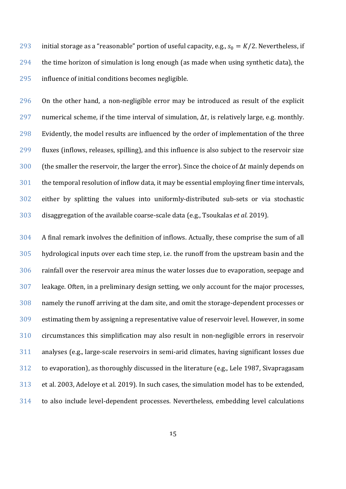293 initial storage as a "reasonable" portion of useful capacity, e.g.,  $s_0 = K/2$ . Nevertheless, if the time horizon of simulation is long enough (as made when using synthetic data), the influence of initial conditions becomes negligible.

 On the other hand, a non-negligible error may be introduced as result of the explicit 297 numerical scheme, if the time interval of simulation,  $\Delta t$ , is relatively large, e.g. monthly. Evidently, the model results are influenced by the order of implementation of the three fluxes (inflows, releases, spilling), and this influence is also subject to the reservoir size 300 (the smaller the reservoir, the larger the error). Since the choice of  $\Delta t$  mainly depends on the temporal resolution of inflow data, it may be essential employing finer time intervals, either by splitting the values into uniformly-distributed sub-sets or via stochastic disaggregation of the available coarse-scale data (e.g., Tsoukalas *et al.* 2019).

 A final remark involves the definition of inflows. Actually, these comprise the sum of all hydrological inputs over each time step, i.e. the runoff from the upstream basin and the rainfall over the reservoir area minus the water losses due to evaporation, seepage and leakage. Often, in a preliminary design setting, we only account for the major processes, namely the runoff arriving at the dam site, and omit the storage-dependent processes or estimating them by assigning a representative value of reservoir level. However, in some circumstances this simplification may also result in non-negligible errors in reservoir analyses (e.g., large-scale reservoirs in semi-arid climates, having significant losses due to evaporation), as thoroughly discussed in the literature (e.g., Lele 1987, Sivapragasam et al. 2003, Adeloye et al. 2019). In such cases, the simulation model has to be extended, to also include level-dependent processes. Nevertheless, embedding level calculations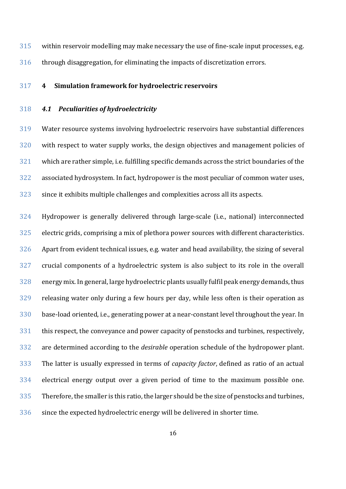within reservoir modelling may make necessary the use of fine-scale input processes, e.g. through disaggregation, for eliminating the impacts of discretization errors.

### **4 Simulation framework for hydroelectric reservoirs**

<span id="page-15-0"></span>*4.1 Peculiarities of hydroelectricity*

 Water resource systems involving hydroelectric reservoirs have substantial differences with respect to water supply works, the design objectives and management policies of which are rather simple, i.e. fulfilling specific demands across the strict boundaries of the associated hydrosystem. In fact, hydropower is the most peculiar of common water uses, since it exhibits multiple challenges and complexities across all its aspects.

 Hydropower is generally delivered through large-scale (i.e., national) interconnected electric grids, comprising a mix of plethora power sources with different characteristics. Apart from evident technical issues, e.g. water and head availability, the sizing of several crucial components of a hydroelectric system is also subject to its role in the overall energy mix. In general, large hydroelectric plants usually fulfil peak energy demands, thus releasing water only during a few hours per day, while less often is their operation as base-load oriented, i.e., generating power at a near-constant level throughout the year. In this respect, the conveyance and power capacity of penstocks and turbines, respectively, are determined according to the *desirable* operation schedule of the hydropower plant. The latter is usually expressed in terms of *capacity factor*, defined as ratio of an actual electrical energy output over a given period of time to the maximum possible one. Therefore, the smaller is this ratio, the larger should be the size of penstocks and turbines, since the expected hydroelectric energy will be delivered in shorter time.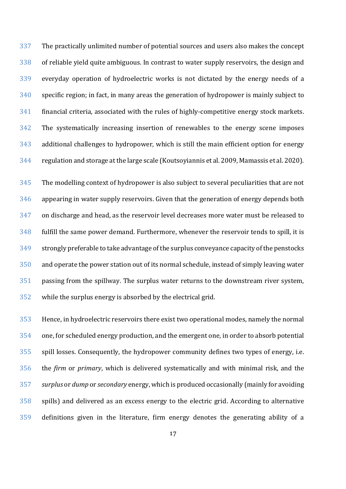The practically unlimited number of potential sources and users also makes the concept of reliable yield quite ambiguous. In contrast to water supply reservoirs, the design and everyday operation of hydroelectric works is not dictated by the energy needs of a specific region; in fact, in many areas the generation of hydropower is mainly subject to financial criteria, associated with the rules of highly-competitive energy stock markets. The systematically increasing insertion of renewables to the energy scene imposes additional challenges to hydropower, which is still the main efficient option for energy regulation and storage at the large scale (Koutsoyiannis et al. 2009, Mamassis et al. 2020).

 The modelling context of hydropower is also subject to several peculiarities that are not appearing in water supply reservoirs. Given that the generation of energy depends both on discharge and head, as the reservoir level decreases more water must be released to fulfill the same power demand. Furthermore, whenever the reservoir tends to spill, it is strongly preferable to take advantage of the surplus conveyance capacity of the penstocks and operate the power station out of its normal schedule, instead of simply leaving water passing from the spillway. The surplus water returns to the downstream river system, while the surplus energy is absorbed by the electrical grid.

 Hence, in hydroelectric reservoirs there exist two operational modes, namely the normal one, for scheduled energy production, and the emergent one, in order to absorb potential spill losses. Consequently, the hydropower community defines two types of energy, i.e. the *firm* or *primary*, which is delivered systematically and with minimal risk, and the *surplus* or *dump* or *secondary* energy, which is produced occasionally (mainly for avoiding spills) and delivered as an excess energy to the electric grid. According to alternative definitions given in the literature, firm energy denotes the generating ability of a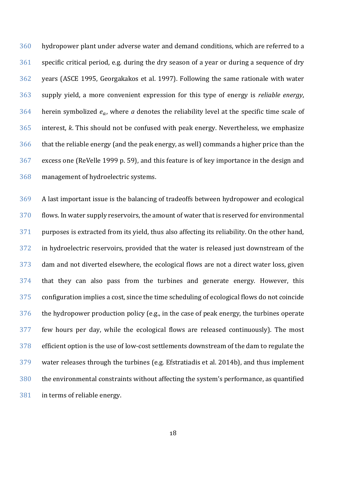hydropower plant under adverse water and demand conditions, which are referred to a specific critical period, e.g. during the dry season of a year or during a sequence of dry years (ASCE 1995, Georgakakos et al. 1997). Following the same rationale with water supply yield, a more convenient expression for this type of energy is *reliable energy*, 364 herein symbolized  $e_a$ , where *a* denotes the reliability level at the specific time scale of interest, *k*. This should not be confused with peak energy. Nevertheless, we emphasize that the reliable energy (and the peak energy, as well) commands a higher price than the excess one (ReVelle 1999 p. 59), and this feature is of key importance in the design and management of hydroelectric systems.

 A last important issue is the balancing of tradeoffs between hydropower and ecological flows. In water supply reservoirs, the amount of water that is reserved for environmental purposes is extracted from its yield, thus also affecting its reliability. On the other hand, in hydroelectric reservoirs, provided that the water is released just downstream of the dam and not diverted elsewhere, the ecological flows are not a direct water loss, given that they can also pass from the turbines and generate energy. However, this configuration implies a cost, since the time scheduling of ecological flows do not coincide the hydropower production policy (e.g., in the case of peak energy, the turbines operate few hours per day, while the ecological flows are released continuously). The most efficient option is the use of low-cost settlements downstream of the dam to regulate the water releases through the turbines (e.g. Efstratiadis et al. 2014b), and thus implement the environmental constraints without affecting the system's performance, as quantified in terms of reliable energy.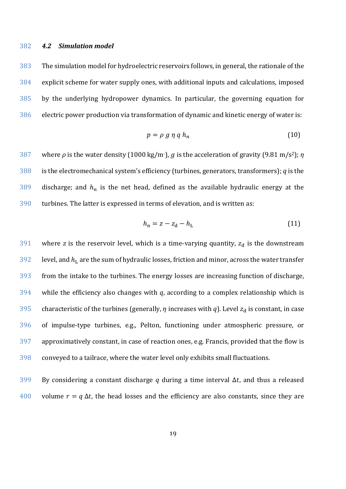### <span id="page-18-1"></span>*4.2 Simulation model*

 The simulation model for hydroelectric reservoirs follows, in general, the rationale of the explicit scheme for water supply ones, with additional inputs and calculations, imposed by the underlying hydropower dynamics. In particular, the governing equation for electric power production via transformation of dynamic and kinetic energy of water is:

<span id="page-18-0"></span>
$$
p = \rho \, g \, \eta \, q \, h_n \tag{10}
$$

387 where  $\rho$  is the water density (1000 kg/m<sup>-</sup>), g is the acceleration of gravity (9.81 m/s<sup>2</sup>); *η*  is the electromechanical system's efficiency (turbines, generators, transformers); *q* is the 389 discharge; and  $h_n$  is the net head, defined as the available hydraulic energy at the turbines. The latter is expressed in terms of elevation, and is written as:

$$
h_{\rm n} = z - z_{\rm d} - h_{\rm L} \tag{11}
$$

 where *z* is the reservoir level, which is a time-varying quantity,  $z_d$  is the downstream level, and  $h_L$  are the sum of hydraulic losses, friction and minor, across the water transfer from the intake to the turbines. The energy losses are increasing function of discharge, while the efficiency also changes with *q*, according to a complex relationship which is 395 characteristic of the turbines (generally,  $\eta$  increases with  $q$ ). Level  $z_d$  is constant, in case of impulse-type turbines, e.g., Pelton, functioning under atmospheric pressure, or approximatively constant, in case of reaction ones, e.g. Francis, provided that the flow is conveyed to a tailrace, where the water level only exhibits small fluctuations.

399 By considering a constant discharge *q* during a time interval Δ*t*, and thus a released 400 volume  $r = q \Delta t$ , the head losses and the efficiency are also constants, since they are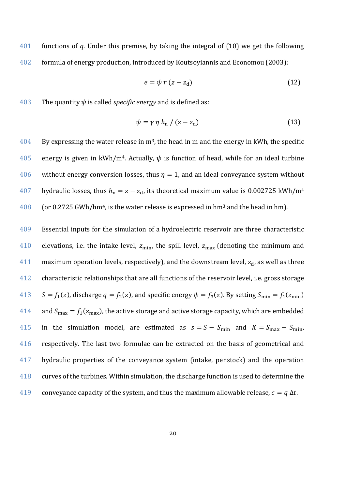401 functions of *q*. Under this premise, by taking the integral of [\(10\)](#page-18-0) we get the following 402 formula of energy production, introduced by Koutsoyiannis and Economou (2003):

<span id="page-19-0"></span>
$$
e = \psi r (z - z_d) \tag{12}
$$

403 The quantity  $\psi$  is called *specific energy* and is defined as:

$$
\psi = \gamma \eta h_{n} / (z - z_{d}) \tag{13}
$$

 $404$  By expressing the water release in m<sup>3</sup>, the head in m and the energy in kWh, the specific 405 energy is given in kWh/m<sup>4</sup>. Actually,  $\psi$  is function of head, while for an ideal turbine 406 without energy conversion losses, thus  $\eta = 1$ , and an ideal conveyance system without 407 hydraulic losses, thus  $h_n = z - z_d$ , its theoretical maximum value is 0.002725 kWh/m<sup>4</sup> 408 (or 0.2725 GWh/hm<sup>4</sup>, is the water release is expressed in hm<sup>3</sup> and the head in hm).

409 Essential inputs for the simulation of a hydroelectric reservoir are three characteristic 410 elevations, i.e. the intake level,  $z_{\text{min}}$ , the spill level,  $z_{\text{max}}$  (denoting the minimum and 411 maximum operation levels, respectively), and the downstream level,  $z_d$ , as well as three 412 characteristic relationships that are all functions of the reservoir level, i.e. gross storage 413  $S = f_1(z)$ , discharge  $q = f_2(z)$ , and specific energy  $\psi = f_3(z)$ . By setting  $S_{\min} = f_1(z_{\min})$ 414 and  $S_{\text{max}} = f_1(z_{\text{max}})$ , the active storage and active storage capacity, which are embedded 415 in the simulation model, are estimated as  $s = S - S_{\text{min}}$  and  $K = S_{\text{max}} - S_{\text{min}}$ , 416 respectively. The last two formulae can be extracted on the basis of geometrical and 417 hydraulic properties of the conveyance system (intake, penstock) and the operation 418 curves of the turbines. Within simulation, the discharge function is used to determine the 419 conveyance capacity of the system, and thus the maximum allowable release,  $c = q \Delta t$ .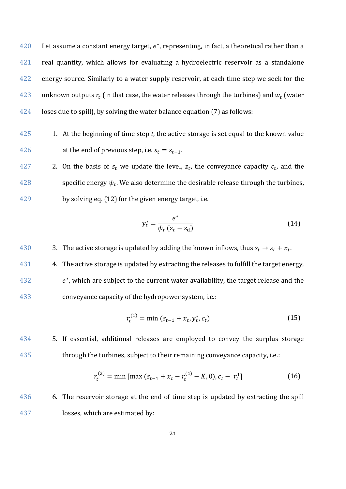420 Let assume a constant energy target,  $e^*$ , representing, in fact, a theoretical rather than a 421 real quantity, which allows for evaluating a hydroelectric reservoir as a standalone 422 energy source. Similarly to a water supply reservoir, at each time step we seek for the 423 unknown outputs  $r_t$  (in that case, the water releases through the turbines) and  $w_t$  (water 424 loses due to spill), by solving the water balance equation [\(7\)](#page-12-0) as follows:

425 1. At the beginning of time step *t*, the active storage is set equal to the known value 426 at the end of previous step, i.e.  $s_t = s_{t-1}$ .

427 2. On the basis of  $s_t$  we update the level,  $z_t$ , the conveyance capacity  $c_t$ , and the 428 specific energy  $\psi_t$ . We also determine the desirable release through the turbines, 429 by solving eq. ([12](#page-19-0)) for the given energy target, i.e.

$$
y_t^* = \frac{e^*}{\psi_t \left(z_t - z_d\right)}\tag{14}
$$

430 3. The active storage is updated by adding the known inflows, thus  $s_t \rightarrow s_t + x_t$ .

431 4. The active storage is updated by extracting the releases to fulfill the target energy,  $432$   $e^*$ , which are subject to the current water availability, the target release and the 433 conveyance capacity of the hydropower system, i.e.:

$$
r_t^{(1)} = \min\left(s_{t-1} + x_t, y_t^*, c_t\right) \tag{15}
$$

434 5. If essential, additional releases are employed to convey the surplus storage 435 through the turbines, subject to their remaining conveyance capacity, i.e.:

$$
r_t^{(2)} = \min \left[ \max \left( s_{t-1} + x_t - r_t^{(1)} - K, 0 \right), c_t - r_t^1 \right] \tag{16}
$$

436 6. The reservoir storage at the end of time step is updated by extracting the spill 437 losses, which are estimated by: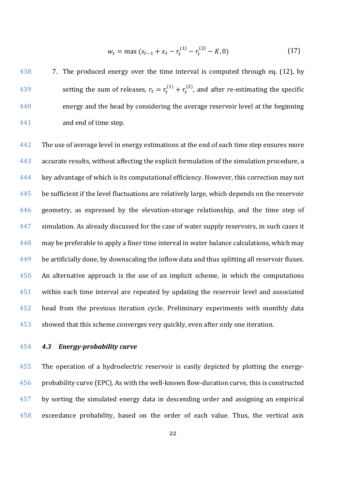$$
w_t = \max (s_{t-1} + x_t - r_t^{(1)} - r_t^{(2)} - K, 0)
$$
 (17)

438 7. The produced energy over the time interval is computed through eq. [\(12\)](#page-19-0), by 439 setting the sum of releases,  $r_t = r_t^{(1)} + r_t^{(2)}$ , and after re-estimating the specific energy and the head by considering the average reservoir level at the beginning and end of time step.

 The use of average level in energy estimations at the end of each time step ensures more accurate results, without affecting the explicit formulation of the simulation procedure, a key advantage of which is its computational efficiency. However, this correction may not be sufficient if the level fluctuations are relatively large, which depends on the reservoir geometry, as expressed by the elevation-storage relationship, and the time step of 447 simulation. As already discussed for the case of water supply reservoirs, in such cases it 448 may be preferable to apply a finer time interval in water balance calculations, which may 449 be artificially done, by downscaling the inflow data and thus splitting all reservoir fluxes. An alternative approach is the use of an implicit scheme, in which the computations within each time interval are repeated by updating the reservoir level and associated head from the previous iteration cycle. Preliminary experiments with monthly data showed that this scheme converges very quickly, even after only one iteration.

# *4.3 Energy-probability curve*

 The operation of a hydroelectric reservoir is easily depicted by plotting the energy- probability curve (EPC). As with the well-known flow-duration curve, this is constructed by sorting the simulated energy data in descending order and assigning an empirical exceedance probability, based on the order of each value. Thus, the vertical axis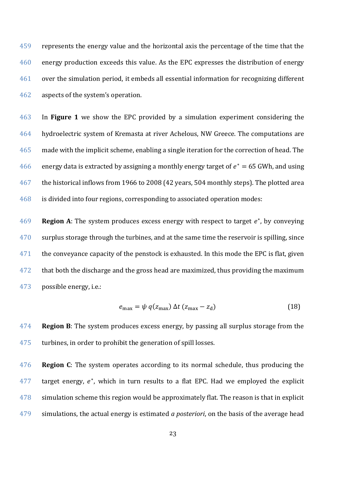represents the energy value and the horizontal axis the percentage of the time that the energy production exceeds this value. As the EPC expresses the distribution of energy over the simulation period, it embeds all essential information for recognizing different aspects of the system's operation.

 In **Figure [1](#page-23-0)** we show the EPC provided by a simulation experiment considering the hydroelectric system of Kremasta at river Achelous, NW Greece. The computations are made with the implicit scheme, enabling a single iteration for the correction of head. The 466 energy data is extracted by assigning a monthly energy target of  $e^* = 65$  GWh, and using the historical inflows from 1966 to 2008 (42 years, 504 monthly steps). The plotted area is divided into four regions, corresponding to associated operation modes:

**Region A**: The system produces excess energy with respect to target  $e^*$ , by conveying 470 surplus storage through the turbines, and at the same time the reservoir is spilling, since 471 the conveyance capacity of the penstock is exhausted. In this mode the EPC is flat, given that both the discharge and the gross head are maximized, thus providing the maximum possible energy, i.e.:

$$
e_{\text{max}} = \psi \, q(z_{\text{max}}) \, \Delta t \, (z_{\text{max}} - z_{\text{d}}) \tag{18}
$$

 **Region B**: The system produces excess energy, by passing all surplus storage from the turbines, in order to prohibit the generation of spill losses.

 **Region C**: The system operates according to its normal schedule, thus producing the target energy,  $e^*$ , which in turn results to a flat EPC. Had we employed the explicit simulation scheme this region would be approximately flat. The reason is that in explicit simulations, the actual energy is estimated *a posteriori*, on the basis of the average head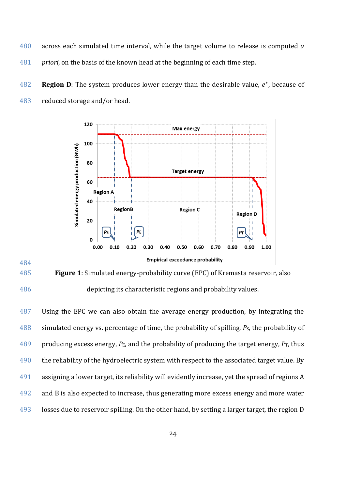- across each simulated time interval, while the target volume to release is computed *a priori*, on the basis of the known head at the beginning of each time step.
- **Region D**: The system produces lower energy than the desirable value, e<sup>\*</sup>, because of reduced storage and/or head.



# <span id="page-23-0"></span>**Figure 1**: Simulated energy-probability curve (EPC) of Kremasta reservoir, also

depicting its characteristic regions and probability values.

487 Using the EPC we can also obtain the average energy production, by integrating the simulated energy vs. percentage of time, the probability of spilling, *P*S, the probability of 489 producing excess energy,  $P_E$ , and the probability of producing the target energy,  $P_T$ , thus 490 the reliability of the hydroelectric system with respect to the associated target value. By assigning a lower target, its reliability will evidently increase, yet the spread of regions A and B is also expected to increase, thus generating more excess energy and more water losses due to reservoir spilling. On the other hand, by setting a larger target, the region D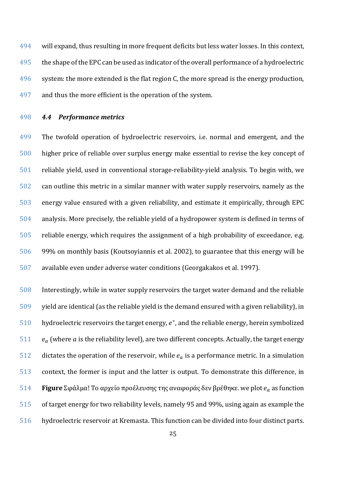will expand, thus resulting in more frequent deficits but less water losses. In this context, 495 the shape of the EPC can be used as indicator of the overall performance of a hydroelectric 496 system: the more extended is the flat region C, the more spread is the energy production, and thus the more efficient is the operation of the system.

# <span id="page-24-0"></span>*4.4 Performance metrics*

 The twofold operation of hydroelectric reservoirs, i.e. normal and emergent, and the higher price of reliable over surplus energy make essential to revise the key concept of reliable yield, used in conventional storage-reliability-yield analysis. To begin with, we can outline this metric in a similar manner with water supply reservoirs, namely as the energy value ensured with a given reliability, and estimate it empirically, through EPC analysis. More precisely, the reliable yield of a hydropower system is defined in terms of reliable energy, which requires the assignment of a high probability of exceedance, e.g. 99% on monthly basis (Koutsoyiannis et al. 2002), to guarantee that this energy will be available even under adverse water conditions (Georgakakos et al. 1997).

 Interestingly, while in water supply reservoirs the target water demand and the reliable yield are identical (as the reliable yield is the demand ensured with a given reliability), in 510 hydroelectric reservoirs the target energy,  $e^*$ , and the reliable energy, herein symbolized  $e_a$  (where a is the reliability level), are two different concepts. Actually, the target energy 512 dictates the operation of the reservoir, while  $e_a$  is a performance metric. In a simulation context, the former is input and the latter is output. To demonstrate this difference, in **Figure** Σφάλμα! Το αρχείο προέλευσης της αναφοράς δεν βρέθηκε. we plot  $e_a$  as function of target energy for two reliability levels, namely 95 and 99%, using again as example the hydroelectric reservoir at Kremasta. This function can be divided into four distinct parts.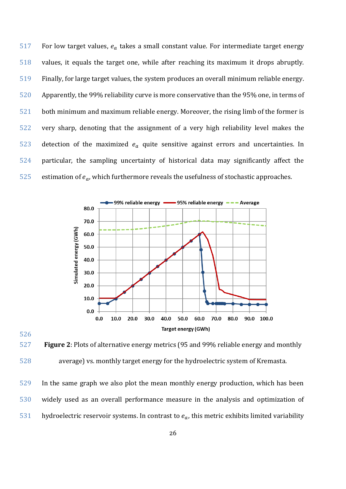517 For low target values,  $e_a$  takes a small constant value. For intermediate target energy values, it equals the target one, while after reaching its maximum it drops abruptly. Finally, for large target values, the system produces an overall minimum reliable energy. Apparently, the 99% reliability curve is more conservative than the 95% one, in terms of both minimum and maximum reliable energy. Moreover, the rising limb of the former is very sharp, denoting that the assignment of a very high reliability level makes the 523 detection of the maximized  $e_a$  quite sensitive against errors and uncertainties. In particular, the sampling uncertainty of historical data may significantly affect the 525 estimation of  $e_a$ , which furthermore reveals the usefulness of stochastic approaches.





 **Figure 2**: Plots of alternative energy metrics (95 and 99% reliable energy and monthly average) vs. monthly target energy for the hydroelectric system of Kremasta.

 In the same graph we also plot the mean monthly energy production, which has been widely used as an overall performance measure in the analysis and optimization of 531 hydroelectric reservoir systems. In contrast to  $e_a$ , this metric exhibits limited variability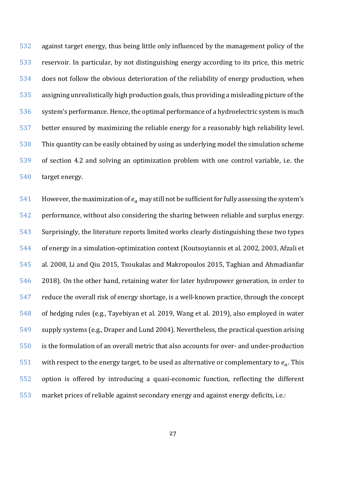against target energy, thus being little only influenced by the management policy of the reservoir. In particular, by not distinguishing energy according to its price, this metric does not follow the obvious deterioration of the reliability of energy production, when assigning unrealistically high production goals, thus providing a misleading picture of the system's performance. Hence, the optimal performance of a hydroelectric system is much better ensured by maximizing the reliable energy for a reasonably high reliability level. This quantity can be easily obtained by using as underlying model the simulation scheme of section 4.2 and solving an optimization problem with one control variable, i.e. the target energy.

541 However, the maximization of  $e_a$  may still not be sufficient for fully assessing the system's performance, without also considering the sharing between reliable and surplus energy. Surprisingly, the literature reports limited works clearly distinguishing these two types of energy in a simulation-optimization context (Koutsoyiannis et al. 2002, 2003, Afzali et al. 2008, Li and Qiu 2015, Tsoukalas and Makropoulos 2015, Taghian and Ahmadianfar 2018). On the other hand, retaining water for later hydropower generation, in order to reduce the overall risk of energy shortage, is a well-known practice, through the concept of hedging rules (e.g., Tayebiyan et al. 2019, Wang et al. 2019), also employed in water supply systems (e.g., Draper and Lund 2004). Nevertheless, the practical question arising is the formulation of an overall metric that also accounts for over- and under-production 551 with respect to the energy target, to be used as alternative or complementary to  $e_a$ . This option is offered by introducing a quasi-economic function, reflecting the different market prices of reliable against secondary energy and against energy deficits, i.e.: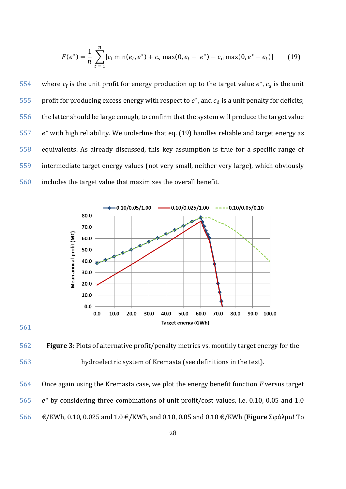<span id="page-27-0"></span>
$$
F(e^*) = \frac{1}{n} \sum_{t=1}^{n} [c_f \min(e_t, e^*) + c_s \max(0, e_t - e^*) - c_d \max(0, e^* - e_t)] \tag{19}
$$

554 where  $c_f$  is the unit profit for energy production up to the target value  $e^*$ ,  $c_s$  is the unit 555 profit for producing excess energy with respect to  $e^*$ , and  $c_d$  is a unit penalty for deficits; the latter should be large enough, to confirm that the system will produce the target value  $e^*$  with high reliability. We underline that eq. [\(19\)](#page-27-0) handles reliable and target energy as equivalents. As already discussed, this key assumption is true for a specific range of intermediate target energy values (not very small, neither very large), which obviously includes the target value that maximizes the overall benefit.



# 561

562 **Figure 3**: Plots of alternative profit/penalty metrics vs. monthly target energy for the 563 hydroelectric system of Kremasta (see definitions in the text).

564 Once again using the Kremasta case, we plot the energy benefit function *F* versus target  $565$  e<sup>\*</sup> by considering three combinations of unit profit/cost values, i.e. 0.10, 0.05 and 1.0

566 €/KWh, 0.10, 0.025 and 1.0 €/KWh, and 0.10, 0.05 and 0.10 €/KWh (**Figure** Σφάλμα! Το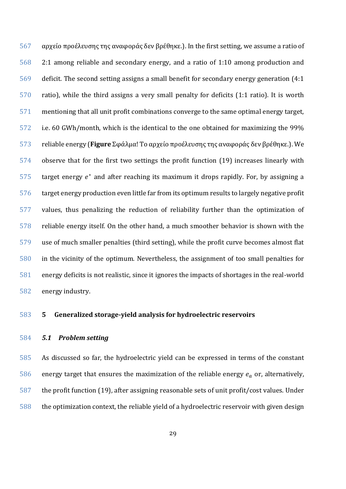αρχείο προέλευσης της αναφοράς δεν βρέθηκε.). In the first setting, we assume a ratio of 2:1 among reliable and secondary energy, and a ratio of 1:10 among production and deficit. The second setting assigns a small benefit for secondary energy generation (4:1 ratio), while the third assigns a very small penalty for deficits (1:1 ratio). It is worth mentioning that all unit profit combinations converge to the same optimal energy target, i.e. 60 GWh/month, which is the identical to the one obtained for maximizing the 99% reliable energy (**Figure** Σφάλμα! Το αρχείο προέλευσης της αναφοράς δεν βρέθηκε.). We observe that for the first two settings the profit function [\(19\)](#page-27-0) increases linearly with target energy  $e^*$  and after reaching its maximum it drops rapidly. For, by assigning a target energy production even little far from its optimum results to largely negative profit values, thus penalizing the reduction of reliability further than the optimization of reliable energy itself. On the other hand, a much smoother behavior is shown with the use of much smaller penalties (third setting), while the profit curve becomes almost flat in the vicinity of the optimum. Nevertheless, the assignment of too small penalties for energy deficits is not realistic, since it ignores the impacts of shortages in the real-world energy industry.

# **5 Generalized storage-yield analysis for hydroelectric reservoirs**

### *5.1 Problem setting*

 As discussed so far, the hydroelectric yield can be expressed in terms of the constant 586 energy target that ensures the maximization of the reliable energy  $e_a$  or, alternatively, the profit function [\(19\)](#page-27-0), after assigning reasonable sets of unit profit/cost values. Under the optimization context, the reliable yield of a hydroelectric reservoir with given design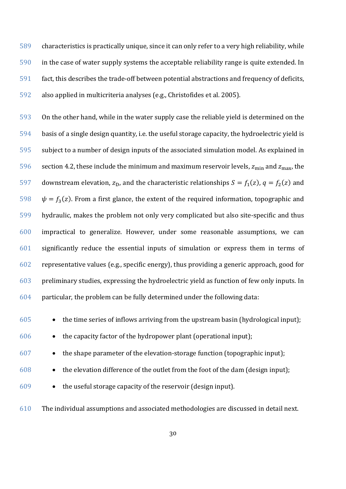characteristics is practically unique, since it can only refer to a very high reliability, while in the case of water supply systems the acceptable reliability range is quite extended. In fact, this describes the trade-off between potential abstractions and frequency of deficits, also applied in multicriteria analyses (e.g., Christofides et al. 2005).

 On the other hand, while in the water supply case the reliable yield is determined on the basis of a single design quantity, i.e. the useful storage capacity, the hydroelectric yield is subject to a number of design inputs of the associated simulation model. As explained in section [4.2,](#page-18-1) these include the minimum and maximum reservoir levels,  $z_{min}$  and  $z_{max}$ , the 597 downstream elevation,  $z_D$ , and the characteristic relationships  $S = f_1(z)$ ,  $q = f_2(z)$  and  $\psi = f_3(z)$ . From a first glance, the extent of the required information, topographic and hydraulic, makes the problem not only very complicated but also site-specific and thus impractical to generalize. However, under some reasonable assumptions, we can significantly reduce the essential inputs of simulation or express them in terms of representative values (e.g., specific energy), thus providing a generic approach, good for preliminary studies, expressing the hydroelectric yield as function of few only inputs. In particular, the problem can be fully determined under the following data:

• the time series of inflows arriving from the upstream basin (hydrological input);

• the capacity factor of the hydropower plant (operational input);

• the shape parameter of the elevation-storage function (topographic input);

- the elevation difference of the outlet from the foot of the dam (design input);
- the useful storage capacity of the reservoir (design input).

The individual assumptions and associated methodologies are discussed in detail next.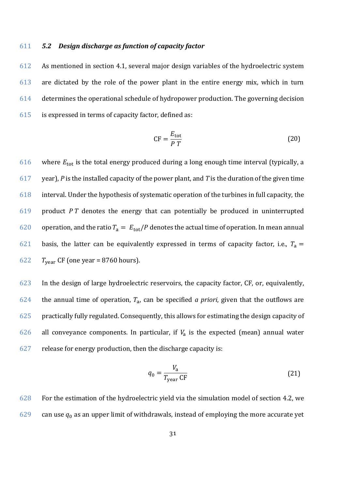# 611 *5.2 Design discharge as function of capacity factor*

 As mentioned in section [4.1,](#page-15-0) several major design variables of the hydroelectric system are dictated by the role of the power plant in the entire energy mix, which in turn determines the operational schedule of hydropower production. The governing decision is expressed in terms of capacity factor, defined as:

$$
CF = \frac{E_{\text{tot}}}{P T} \tag{20}
$$

616 where  $E_{\text{tot}}$  is the total energy produced during a long enough time interval (typically, a 617 year), *P* is the installed capacity of the power plant, and *T* is the duration of the given time 618 interval. Under the hypothesis of systematic operation of the turbines in full capacity, the 619 product *P T* denotes the energy that can potentially be produced in uninterrupted 620 operation, and the ratio  $T_a = E_{tot}/P$  denotes the actual time of operation. In mean annual 621 basis, the latter can be equivalently expressed in terms of capacity factor, i.e.,  $T_a =$ 622  $T_{\text{year}}$  CF (one year = 8760 hours).

623 In the design of large hydroelectric reservoirs, the capacity factor, CF, or, equivalently, 624 the annual time of operation,  $T_a$ , can be specified *a priori*, given that the outflows are 625 practically fully regulated. Consequently, this allows for estimating the design capacity of 626 all conveyance components. In particular, if  $V_a$  is the expected (mean) annual water  $627$  release for energy production, then the discharge capacity is:

$$
q_0 = \frac{V_a}{T_{\text{year}} \text{ CF}}
$$
 (21)

628 For the estimation of the hydroelectric yield via the simulation model of section [4.2,](#page-18-1) we 629 can use  $q_0$  as an upper limit of withdrawals, instead of employing the more accurate yet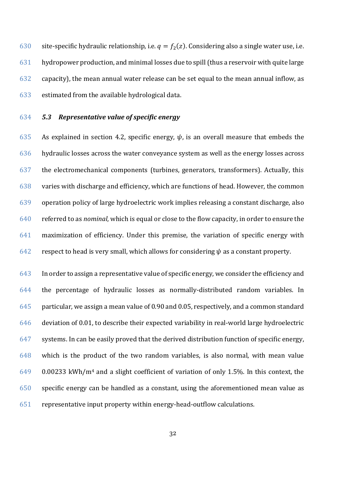630 site-specific hydraulic relationship, i.e.  $q = f_2(z)$ . Considering also a single water use, i.e. hydropower production, and minimal losses due to spill(thus a reservoir with quite large capacity), the mean annual water release can be set equal to the mean annual inflow, as estimated from the available hydrological data.

# <span id="page-31-0"></span>*5.3 Representative value of specific energy*

635 As explained in section [4.2,](#page-18-1) specific energy,  $\psi$ , is an overall measure that embeds the hydraulic losses across the water conveyance system as well as the energy losses across the electromechanical components (turbines, generators, transformers). Actually, this varies with discharge and efficiency, which are functions of head. However, the common operation policy of large hydroelectric work implies releasing a constant discharge, also referred to as *nominal*, which is equal or close to the flow capacity, in order to ensure the maximization of efficiency. Under this premise, the variation of specific energy with 642 respect to head is very small, which allows for considering  $\psi$  as a constant property.

 In order to assign a representative value of specific energy, we consider the efficiency and the percentage of hydraulic losses as normally-distributed random variables. In particular, we assign a mean value of 0.90 and 0.05, respectively, and a common standard deviation of 0.01, to describe their expected variability in real-world large hydroelectric systems. In can be easily proved that the derived distribution function of specific energy, which is the product of the two random variables, is also normal, with mean value 0.00233 kWh/m<sup>4</sup> and a slight coefficient of variation of only 1.5%. In this context, the specific energy can be handled as a constant, using the aforementioned mean value as representative input property within energy-head-outflow calculations.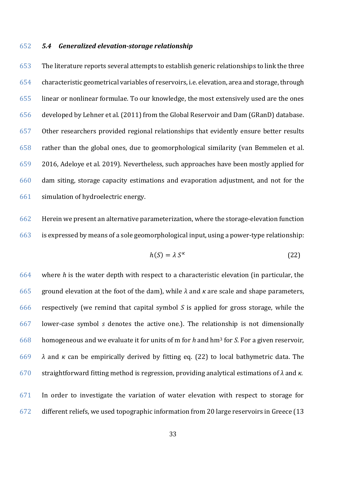# *5.4 Generalized elevation-storage relationship*

 The literature reports several attempts to establish generic relationships to link the three characteristic geometrical variables of reservoirs, i.e. elevation, area and storage, through linear or nonlinear formulae. To our knowledge, the most extensively used are the ones developed by Lehner et al. (2011) from the Global Reservoir and Dam (GRanD) database. Other researchers provided regional relationships that evidently ensure better results rather than the global ones, due to geomorphological similarity (van Bemmelen et al. 2016, Adeloye et al. 2019). Nevertheless, such approaches have been mostly applied for dam siting, storage capacity estimations and evaporation adjustment, and not for the simulation of hydroelectric energy.

 Herein we present an alternative parameterization, where the storage-elevation function is expressed by means of a sole geomorphological input, using a power-type relationship:

<span id="page-32-0"></span>
$$
h(S) = \lambda S^{\kappa} \tag{22}
$$

 where *h* is the water depth with respect to a characteristic elevation (in particular, the ground elevation at the foot of the dam), while *λ* and *κ* are scale and shape parameters, respectively (we remind that capital symbol *S* is applied for gross storage, while the lower-case symbol *s* denotes the active one.). The relationship is not dimensionally homogeneous and we evaluate it for units of m for *h* and hm<sup>3</sup> for *S*. For a given reservoir, *λ* and *κ* can be empirically derived by fitting eq. [\(22\)](#page-32-0) to local bathymetric data. The straightforward fitting method is regression, providing analytical estimations of *λ* and *κ*. In order to investigate the variation of water elevation with respect to storage for

different reliefs, we used topographic information from 20 large reservoirs in Greece (13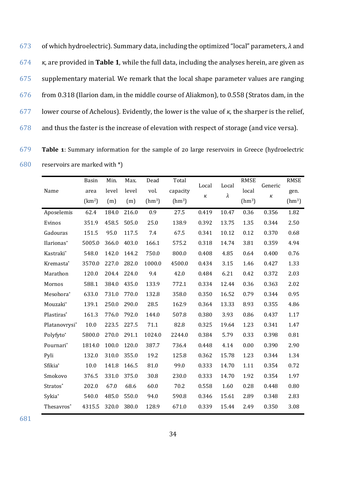of which hydroelectric). Summary data, including the optimized "local" parameters, *λ* and *κ*, are provided in **Table [1](#page-33-0)**, while the full data, including the analyses herein, are given as supplementary material. We remark that the local shape parameter values are ranging from 0.318 (Ilarion dam, in the middle course of Aliakmon), to 0.558 (Stratos dam, in the lower course of Achelous). Evidently, the lower is the value of *κ*, the sharper is the relief, and thus the faster is the increase of elevation with respect of storage (and vice versa).

679 **Table 1**: Summary information for the sample of 20 large reservoirs in Greece (hydroelectric 680 reservoirs are marked with \*)

<span id="page-33-0"></span>

| Name          | Basin<br>area<br>(km <sup>2</sup> ) | Min.<br>level<br>(m) | Max.<br>level<br>(m) | Dead<br>vol.<br>(hm <sup>3</sup> ) | Total<br>capacity<br>(hm <sup>3</sup> ) | Local<br>к | Local<br>$\lambda$ | <b>RMSE</b><br>local<br>(hm <sup>3</sup> ) | Generic<br>κ | <b>RMSE</b><br>gen.<br>(hm <sup>3</sup> ) |
|---------------|-------------------------------------|----------------------|----------------------|------------------------------------|-----------------------------------------|------------|--------------------|--------------------------------------------|--------------|-------------------------------------------|
| Aposelemis    | 62.4                                | 184.0                | 216.0                | 0.9                                | 27.5                                    | 0.419      | 10.47              | 0.36                                       | 0.356        | 1.82                                      |
| Evinos        | 351.9                               | 458.5                | 505.0                | 25.0                               | 138.9                                   | 0.392      | 13.75              | 1.35                                       | 0.344        | 2.50                                      |
| Gadouras      | 151.5                               | 95.0                 | 117.5                | 7.4                                | 67.5                                    | 0.341      | 10.12              | 0.12                                       | 0.370        | 0.68                                      |
| Ilarionas*    | 5005.0                              | 366.0                | 403.0                | 166.1                              | 575.2                                   | 0.318      | 14.74              | 3.81                                       | 0.359        | 4.94                                      |
| Kastraki*     | 548.0                               | 142.0                | 144.2                | 750.0                              | 800.0                                   | 0.408      | 4.85               | 0.64                                       | 0.400        | 0.76                                      |
| Kremasta*     | 3570.0                              | 227.0                | 282.0                | 1000.0                             | 4500.0                                  | 0.434      | 3.15               | 1.46                                       | 0.427        | 1.33                                      |
| Marathon      | 120.0                               | 204.4                | 224.0                | 9.4                                | 42.0                                    | 0.484      | 6.21               | 0.42                                       | 0.372        | 2.03                                      |
| Mornos        | 588.1                               | 384.0                | 435.0                | 133.9                              | 772.1                                   | 0.334      | 12.44              | 0.36                                       | 0.363        | 2.02                                      |
| Mesohora*     | 633.0                               | 731.0                | 770.0                | 132.8                              | 358.0                                   | 0.350      | 16.52              | 0.79                                       | 0.344        | 0.95                                      |
| Mouzaki*      | 139.1                               | 250.0                | 290.0                | 28.5                               | 162.9                                   | 0.364      | 13.33              | 8.93                                       | 0.355        | 4.86                                      |
| Plastiras*    | 161.3                               | 776.0                | 792.0                | 144.0                              | 507.8                                   | 0.380      | 3.93               | 0.86                                       | 0.437        | 1.17                                      |
| Platanovrysi* | 10.0                                | 223.5                | 227.5                | 71.1                               | 82.8                                    | 0.325      | 19.64              | 1.23                                       | 0.341        | 1.47                                      |
| Polyfyto*     | 5800.0                              | 270.0                | 291.1                | 1024.0                             | 2244.0                                  | 0.384      | 5.79               | 0.33                                       | 0.398        | 0.81                                      |
| Pournari*     | 1814.0                              | 100.0                | 120.0                | 387.7                              | 736.4                                   | 0.448      | 4.14               | 0.00                                       | 0.390        | 2.90                                      |
| Pyli          | 132.0                               | 310.0                | 355.0                | 19.2                               | 125.8                                   | 0.362      | 15.78              | 1.23                                       | 0.344        | 1.34                                      |
| Sfikia*       | 10.0                                | 141.8                | 146.5                | 81.0                               | 99.0                                    | 0.333      | 14.70              | 1.11                                       | 0.354        | 0.72                                      |
| Smokovo       | 376.5                               | 331.0                | 375.0                | 30.8                               | 230.0                                   | 0.333      | 14.70              | 1.92                                       | 0.354        | 1.97                                      |
| Stratos*      | 202.0                               | 67.0                 | 68.6                 | 60.0                               | 70.2                                    | 0.558      | 1.60               | 0.28                                       | 0.448        | 0.80                                      |
| Sykia*        | 540.0                               | 485.0                | 550.0                | 94.0                               | 590.8                                   | 0.346      | 15.61              | 2.89                                       | 0.348        | 2.83                                      |
| Thesavros*    | 4315.5                              | 320.0                | 380.0                | 128.9                              | 671.0                                   | 0.339      | 15.44              | 2.49                                       | 0.350        | 3.08                                      |

681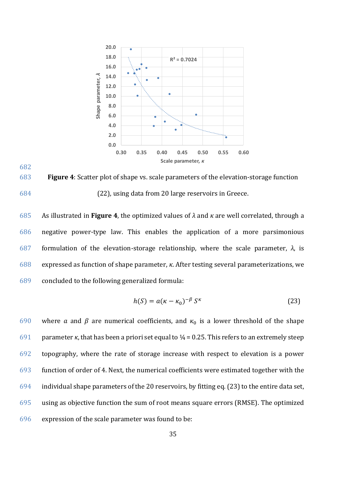

<span id="page-34-0"></span>683 **Figure 4**: Scatter plot of shape vs. scale parameters of the elevation-storage function 684 [\(22\)](#page-32-0), using data from 20 large reservoirs in Greece.

682

 As illustrated in **Figure [4](#page-34-0)**, the optimized values of *λ* and *κ* are well correlated, through a negative power-type law. This enables the application of a more parsimonious formulation of the elevation-storage relationship, where the scale parameter, *λ*, is expressed as function of shape parameter, *κ*. After testing several parameterizations, we concluded to the following generalized formula:

<span id="page-34-1"></span>
$$
h(S) = a(\kappa - \kappa_0)^{-\beta} S^{\kappa} \tag{23}
$$

690 where a and  $\beta$  are numerical coefficients, and  $\kappa_0$  is a lower threshold of the shape 691 parameter *κ*, that has been a priori set equal to  $\frac{1}{4}$  = 0.25. This refers to an extremely steep topography, where the rate of storage increase with respect to elevation is a power function of order of 4. Next, the numerical coefficients were estimated together with the individual shape parameters of the 20 reservoirs, by fitting eq. [\(23\)](#page-34-1) to the entire data set, using as objective function the sum of root means square errors (RMSE). The optimized expression of the scale parameter was found to be: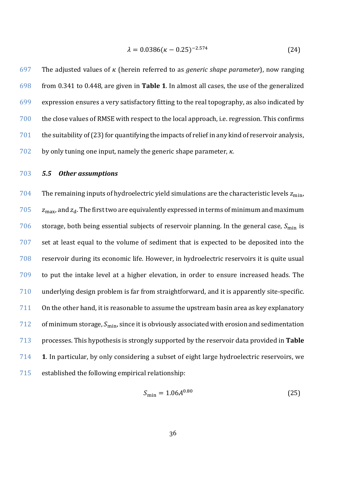<span id="page-35-0"></span>
$$
\lambda = 0.0386(\kappa - 0.25)^{-2.574} \tag{24}
$$

697 The adjusted values of  $\kappa$  (herein referred to as *generic shape parameter*), now ranging from 0.341 to 0.448, are given in **Table [1](#page-33-0)**. In almost all cases, the use of the generalized expression ensures a very satisfactory fitting to the real topography, as also indicated by the close values of RMSE with respect to the local approach, i.e. regression. This confirms the suitability of [\(23\)](#page-34-1) for quantifying the impacts of relief in any kind of reservoir analysis, by only tuning one input, namely the generic shape parameter, *κ*.

# *5.5 Other assumptions*

704 The remaining inputs of hydroelectric yield simulations are the characteristic levels  $z_{\min}$ ,  $z_{\rm max}$ , and  $z_{\rm d}$ . The first two are equivalently expressed in terms of minimum and maximum 706 storage, both being essential subjects of reservoir planning. In the general case,  $S_{\text{min}}$  is set at least equal to the volume of sediment that is expected to be deposited into the reservoir during its economic life. However, in hydroelectric reservoirs it is quite usual to put the intake level at a higher elevation, in order to ensure increased heads. The underlying design problem is far from straightforward, and it is apparently site-specific. On the other hand, it is reasonable to assume the upstream basin area as key explanatory 712 of minimum storage,  $S_{\text{min}}$ , since it is obviously associated with erosion and sedimentation processes. This hypothesis is strongly supported by the reservoir data provided in **Table [1](#page-33-0)**. In particular, by only considering a subset of eight large hydroelectric reservoirs, we established the following empirical relationship:

$$
S_{\min} = 1.06A^{0.80} \tag{25}
$$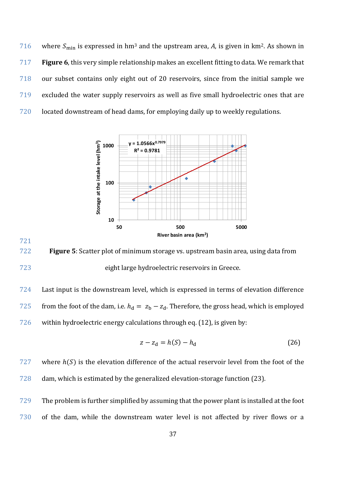716 where  $S_{\text{min}}$  is expressed in hm<sup>3</sup> and the upstream area, *A*, is given in km<sup>2</sup>. As shown in **Figure [6](#page-39-0)**, this very simple relationship makes an excellent fitting to data. We remark that our subset contains only eight out of 20 reservoirs, since from the initial sample we excluded the water supply reservoirs as well as five small hydroelectric ones that are located downstream of head dams, for employing daily up to weekly regulations.



 **Figure 5**: Scatter plot of minimum storage vs. upstream basin area, using data from eight large hydroelectric reservoirs in Greece.

 Last input is the downstream level, which is expressed in terms of elevation difference 725 from the foot of the dam, i.e.  $h_d = z_b - z_d$ . Therefore, the gross head, which is employed within hydroelectric energy calculations through eq. ([12](#page-19-0)), is given by:

<span id="page-36-0"></span>
$$
z - z_d = h(S) - h_d \tag{26}
$$

 where  $h(S)$  is the elevation difference of the actual reservoir level from the foot of the dam, which is estimated by the generalized elevation-storage function [\(23\)](#page-34-1).

 The problem is further simplified by assuming that the power plant is installed at the foot of the dam, while the downstream water level is not affected by river flows or a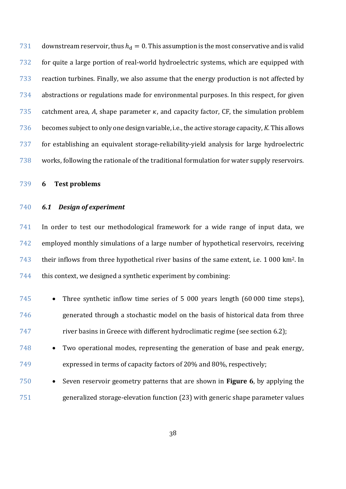731 downstream reservoir, thus  $h_d = 0$ . This assumption is the most conservative and is valid for quite a large portion of real-world hydroelectric systems, which are equipped with reaction turbines. Finally, we also assume that the energy production is not affected by abstractions or regulations made for environmental purposes. In this respect, for given 735 catchment area, A, shape parameter  $\kappa$ , and capacity factor, CF, the simulation problem becomes subject to only one design variable, i.e.,the active storage capacity, *K*. This allows for establishing an equivalent storage-reliability-yield analysis for large hydroelectric works, following the rationale of the traditional formulation for water supply reservoirs.

**6 Test problems**

# *6.1 Design of experiment*

 In order to test our methodological framework for a wide range of input data, we employed monthly simulations of a large number of hypothetical reservoirs, receiving 743 their inflows from three hypothetical river basins of the same extent, i.e.  $1\,000\ \mathrm{km^2}$ . In this context, we designed a synthetic experiment by combining:

 • Three synthetic inflow time series of 5 000 years length (60 000 time steps), generated through a stochastic model on the basis of historical data from three river basins in Greece with different hydroclimatic regime (see section [6.2\)](#page-39-1);

- Two operational modes, representing the generation of base and peak energy, expressed in terms of capacity factors of 20% and 80%, respectively;
- Seven reservoir geometry patterns that are shown in **Figure [6](#page-39-0)**, by applying the generalized storage-elevation function [\(23\)](#page-34-1) with generic shape parameter values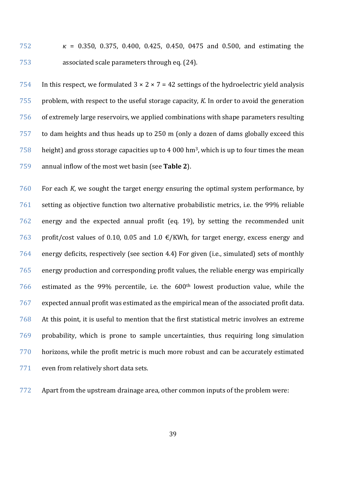752  $\kappa = 0.350, 0.375, 0.400, 0.425, 0.450, 0.475,$  and 0.500, and estimating the associated scale parameters through eq. [\(24\)](#page-35-0).

754 In this respect, we formulated  $3 \times 2 \times 7 = 42$  settings of the hydroelectric yield analysis problem, with respect to the useful storage capacity, *K*. In order to avoid the generation of extremely large reservoirs, we applied combinations with shape parameters resulting to dam heights and thus heads up to 250 m (only a dozen of dams globally exceed this height) and gross storage capacities up to 4 000 hm<sup>3</sup>, which is up to four times the mean annual inflow of the most wet basin (see **Table [2](#page-41-0)**).

 For each *K*, we sought the target energy ensuring the optimal system performance, by setting as objective function two alternative probabilistic metrics, i.e. the 99% reliable energy and the expected annual profit (eq. [19\)](#page-27-0), by setting the recommended unit 763 profit/cost values of 0.10, 0.05 and 1.0  $\epsilon$ /KWh, for target energy, excess energy and energy deficits, respectively (see section [4.4\)](#page-24-0) For given (i.e., simulated) sets of monthly energy production and corresponding profit values, the reliable energy was empirically estimated as the 99% percentile, i.e. the  $600<sup>th</sup>$  lowest production value, while the expected annual profit was estimated as the empirical mean of the associated profit data. At this point, it is useful to mention that the first statistical metric involves an extreme probability, which is prone to sample uncertainties, thus requiring long simulation horizons, while the profit metric is much more robust and can be accurately estimated even from relatively short data sets.

Apart from the upstream drainage area, other common inputs of the problem were: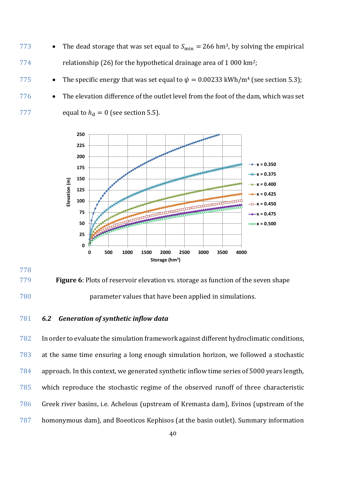- 773 The dead storage that was set equal to  $S_{\text{min}} = 266 \text{ hm}^3$ , by solving the empirical 774 relationship [\(26\)](#page-36-0) for the hypothetical drainage area of 1 000 km<sup>2</sup>;
- 775 The specific energy that was set equal to  $\psi = 0.00233$  kWh/m<sup>4</sup> (see section [5.3\)](#page-31-0);
- 776 The elevation difference of the outlet level from the foot of the dam, which was set 777 equal to  $h_d = 0$  (see section 5.5).



# 

<span id="page-39-0"></span>

 **Figure 6**: Plots of reservoir elevation vs. storage as function of the seven shape parameter values that have been applied in simulations.

# <span id="page-39-1"></span>*6.2 Generation of synthetic inflow data*

 In order to evaluate the simulation framework against different hydroclimatic conditions, at the same time ensuring a long enough simulation horizon, we followed a stochastic approach. In this context, we generated synthetic inflow time series of 5000 years length, which reproduce the stochastic regime of the observed runoff of three characteristic Greek river basins, i.e. Achelous (upstream of Kremasta dam), Evinos (upstream of the homonymous dam), and Boeoticos Kephisos (at the basin outlet). Summary information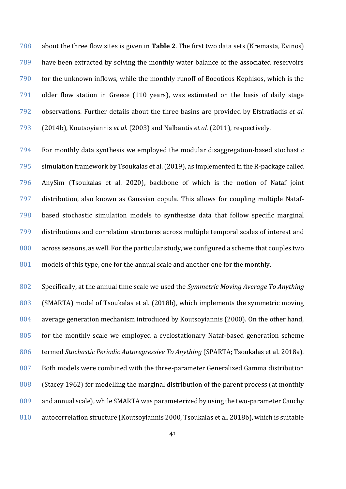about the three flow sites is given in **Table [2](#page-41-0)**. The first two data sets (Kremasta, Evinos) have been extracted by solving the monthly water balance of the associated reservoirs for the unknown inflows, while the monthly runoff of Boeoticos Kephisos, which is the older flow station in Greece (110 years), was estimated on the basis of daily stage observations. Further details about the three basins are provided by Efstratiadis *et al.*  (2014b), Koutsoyiannis *et al.* (2003) and Nalbantis *et al.* (2011), respectively.

 For monthly data synthesis we employed the modular disaggregation-based stochastic simulation framework by Tsoukalas et al. (2019), as implemented in the R-package called AnySim (Tsoukalas et al. 2020), backbone of which is the notion of Nataf joint distribution, also known as Gaussian copula. This allows for coupling multiple Nataf- based stochastic simulation models to synthesize data that follow specific marginal distributions and correlation structures across multiple temporal scales of interest and across seasons, as well. For the particular study, we configured a scheme that couples two models of this type, one for the annual scale and another one for the monthly.

 Specifically, at the annual time scale we used the *Symmetric Moving Average To Anything* (SMARTA) model of Tsoukalas et al. (2018b), which implements the symmetric moving average generation mechanism introduced by Koutsoyiannis (2000). On the other hand, for the monthly scale we employed a cyclostationary Nataf-based generation scheme termed *Stochastic Periodic Autoregressive To Anything* (SPARTA; Tsoukalas et al. 2018a). Both models were combined with the three-parameter Generalized Gamma distribution (Stacey 1962) for modelling the marginal distribution of the parent process (at monthly and annual scale), while SMARTA was parameterized by using the two-parameter Cauchy autocorrelation structure (Koutsoyiannis 2000, Tsoukalas et al. 2018b), which is suitable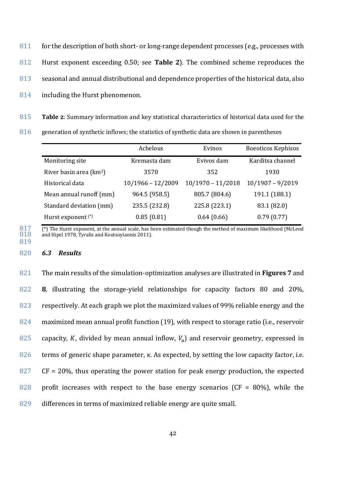- 811 for the description of both short- or long-range dependent processes (e.g., processes with 812 Hurst exponent exceeding 0.50; see **Table [2](#page-41-0)**). The combined scheme reproduces the 813 seasonal and annual distributional and dependence properties of the historical data, also
- 814 including the Hurst phenomenon.

815 **Table 2**: Summary information and key statistical characteristics of historical data used for the

816 generation of synthetic inflows; the statistics of synthetic data are shown in parentheses

<span id="page-41-0"></span>

|                                     | Achelous            | Evinos              | <b>Boeoticos Kephisos</b> |
|-------------------------------------|---------------------|---------------------|---------------------------|
| Monitoring site                     | Kremasta dam        | Evivos dam          | Karditsa channel          |
| River basin area (km <sup>2</sup> ) | 3570                | 352                 | 1930                      |
| Historical data                     | $10/1966 - 12/2009$ | $10/1970 - 11/2018$ | $10/1907 - 9/2019$        |
| Mean annual runoff (mm)             | 964.5 (958.5)       | 805.7 (804.6)       | 191.1 (188.1)             |
| Standard deviation (mm)             | 235.5 (232.8)       | 225.8 (223.1)       | 83.1 (82.0)               |
| Hurst exponent (*)                  | 0.85(0.81)          | 0.64(0.66)          | 0.79(0.77)                |

 $817$  (\*) The Hurst exponent, at the annual scale, has been estimated though the method of maximum likelihood (McLeod and Hipel 1978. Tyralis and Koutsoviannis 2011). and Hipel 1978. Tyralis and Koutsoviannis 2011).

### 819

820 *6.3 Results*

 The main results of the simulation-optimization analyses are illustrated in **Figures [7](#page-42-0)** and **[8](#page-43-0)**, illustrating the storage-yield relationships for capacity factors 80 and 20%, 823 respectively. At each graph we plot the maximized values of 99% reliable energy and the maximized mean annual profit function [\(19\)](#page-27-0), with respect to storage ratio (i.e., reservoir 825 capacity, K, divided by mean annual inflow,  $V_a$ ) and reservoir geometry, expressed in terms of generic shape parameter, *κ*. As expected, by setting the low capacity factor, i.e.  $CF = 20\%$ , thus operating the power station for peak energy production, the expected 828 profit increases with respect to the base energy scenarios ( $CF = 80\%$ ), while the differences in terms of maximized reliable energy are quite small.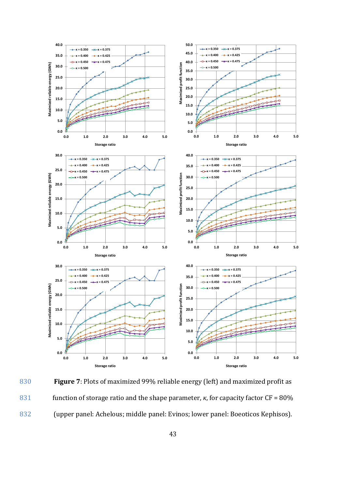

<span id="page-42-0"></span>830 **Figure 7**: Plots of maximized 99% reliable energy (left) and maximized profit as 831 function of storage ratio and the shape parameter, *κ*, for capacity factor CF = 80% 832 (upper panel: Achelous; middle panel: Evinos; lower panel: Boeoticos Kephisos).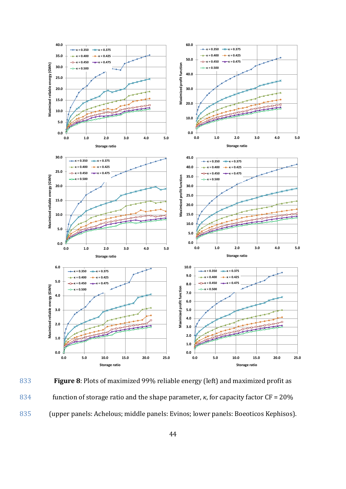

<span id="page-43-0"></span>833 **Figure 8**: Plots of maximized 99% reliable energy (left) and maximized profit as 834 function of storage ratio and the shape parameter, *κ*, for capacity factor CF = 20% 835 (upper panels: Achelous; middle panels: Evinos; lower panels: Boeoticos Kephisos).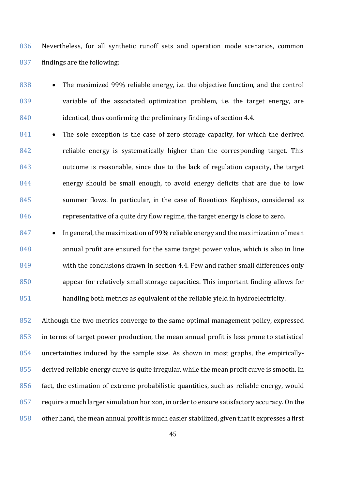Nevertheless, for all synthetic runoff sets and operation mode scenarios, common findings are the following:

838 • The maximized 99% reliable energy, i.e. the objective function, and the control variable of the associated optimization problem, i.e. the target energy, are identical, thus confirming the preliminary findings of section 4.4.

841 • The sole exception is the case of zero storage capacity, for which the derived reliable energy is systematically higher than the corresponding target. This outcome is reasonable, since due to the lack of regulation capacity, the target energy should be small enough, to avoid energy deficits that are due to low summer flows. In particular, in the case of Boeoticos Kephisos, considered as representative of a quite dry flow regime, the target energy is close to zero.

847 • In general, the maximization of 99% reliable energy and the maximization of mean annual profit are ensured for the same target power value, which is also in line with the conclusions drawn in section 4.4. Few and rather small differences only appear for relatively small storage capacities. This important finding allows for handling both metrics as equivalent of the reliable yield in hydroelectricity.

 Although the two metrics converge to the same optimal management policy, expressed in terms of target power production, the mean annual profit is less prone to statistical uncertainties induced by the sample size. As shown in most graphs, the empirically- derived reliable energy curve is quite irregular, while the mean profit curve is smooth. In fact, the estimation of extreme probabilistic quantities, such as reliable energy, would 857 require a much larger simulation horizon, in order to ensure satisfactory accuracy. On the other hand, the mean annual profit is much easier stabilized, given that it expresses a first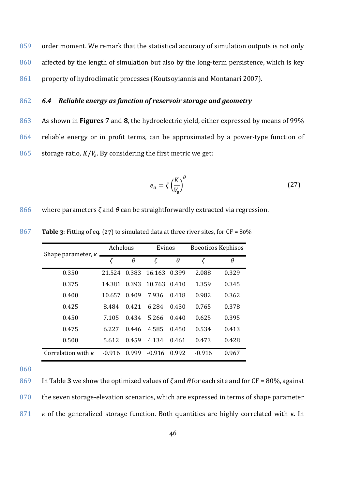859 order moment. We remark that the statistical accuracy of simulation outputs is not only 860 affected by the length of simulation but also by the long-term persistence, which is key 861 property of hydroclimatic processes (Koutsoyiannis and Montanari 2007).

# 862 *6.4 Reliable energy as function of reservoir storage and geometry*

863 As shown in **Figures [7](#page-42-0)** and **[8](#page-43-0)**, the hydroelectric yield, either expressed by means of 99% 864 reliable energy or in profit terms, can be approximated by a power-type function of 865 storage ratio,  $K/V_a$ . By considering the first metric we get:

<span id="page-45-0"></span>
$$
e_a = \zeta \left(\frac{K}{V_a}\right)^{\theta} \tag{27}
$$

866 where parameters *ζ* and *θ* can be straightforwardly extracted via regression.

<span id="page-45-1"></span>

| Shape parameter, $\kappa$ | Achelous |          | Evinos   |          | <b>Boeoticos Kephisos</b> |          |  |
|---------------------------|----------|----------|----------|----------|---------------------------|----------|--|
|                           | $\zeta$  | $\theta$ | $\zeta$  | $\theta$ | ζ                         | $\theta$ |  |
| 0.350                     | 21.524   | 0.383    | 16.163   | 0.399    | 2.088                     | 0.329    |  |
| 0.375                     | 14.381   | 0.393    | 10.763   | 0.410    | 1.359                     | 0.345    |  |
| 0.400                     | 10.657   | 0.409    | 7.936    | 0.418    | 0.982                     | 0.362    |  |
| 0.425                     | 8.484    | 0.421    | 6.284    | 0.430    | 0.765                     | 0.378    |  |
| 0.450                     | 7.105    | 0.434    | 5.266    | 0.440    | 0.625                     | 0.395    |  |
| 0.475                     | 6.227    | 0.446    | 4.585    | 0.450    | 0.534                     | 0.413    |  |
| 0.500                     | 5.612    | 0.459    | 4.134    | 0.461    | 0.473                     | 0.428    |  |
| Correlation with $\kappa$ | $-0.916$ | 0.999    | $-0.916$ | 0.992    | $-0.916$                  | 0.967    |  |

867 **Table 3**: Fitting of eq. [\(27\)](#page-45-0) to simulated data at three river sites, for CF = 80%

868

869 In Table **[3](#page-45-1)** we show the optimized values of *ζ* and *θ* for each site and for CF = 80%, against 870 the seven storage-elevation scenarios, which are expressed in terms of shape parameter 871 *κ* of the generalized storage function. Both quantities are highly correlated with *κ*. In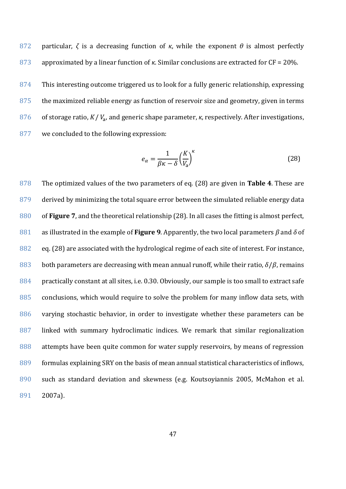872 particular, *ζ* is a decreasing function of *κ*, while the exponent *θ* is almost perfectly 873 approximated by a linear function of *κ*. Similar conclusions are extracted for CF = 20%.

874 This interesting outcome triggered us to look for a fully generic relationship, expressing 875 the maximized reliable energy as function of reservoir size and geometry, given in terms of storage ratio, *K* / *V*<sub>a</sub>, and generic shape parameter, *κ*, respectively. After investigations, 877 we concluded to the following expression:

<span id="page-46-0"></span>
$$
e_{\alpha} = \frac{1}{\beta \kappa - \delta} \left(\frac{K}{V_{\rm a}}\right)^{\kappa} \tag{28}
$$

 The optimized values of the two parameters of eq. [\(28\)](#page-46-0) are given in **Table [4](#page-47-0)**. These are 879 derived by minimizing the total square error between the simulated reliable energy data of **Figure [7](#page-42-0)**, and the theoretical relationship [\(28\).](#page-46-0) In all cases the fitting is almost perfect, as illustrated in the example of **Figure [9](#page-47-1)**. Apparently, the two local parameters *β* and *δ* of eq. [\(28\)](#page-46-0) are associated with the hydrological regime of each site of interest. For instance, 883 both parameters are decreasing with mean annual runoff, while their ratio,  $\delta/\beta$ , remains practically constant at all sites, i.e. 0.30. Obviously, our sample is too small to extract safe conclusions, which would require to solve the problem for many inflow data sets, with varying stochastic behavior, in order to investigate whether these parameters can be linked with summary hydroclimatic indices. We remark that similar regionalization attempts have been quite common for water supply reservoirs, by means of regression formulas explaining SRY on the basis of mean annual statistical characteristics of inflows, such as standard deviation and skewness (e.g. Koutsoyiannis 2005, McMahon et al. 891 2007a).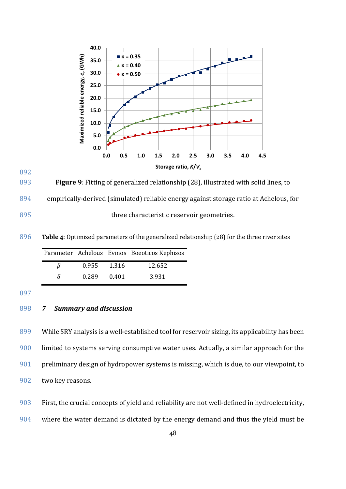

893 **Figure 9**: Fitting of generalized relationship [\(28\),](#page-46-0) illustrated with solid lines, to 894 empirically-derived (simulated) reliable energy against storage ratio at Achelous, for 895 three characteristic reservoir geometries.

896 **Table 4**: Optimized parameters of the generalized relationship [\(28\)](#page-46-0) for the three river sites

<span id="page-47-0"></span>

|    |       |         | Parameter Achelous Evinos Boeoticos Kephisos |
|----|-------|---------|----------------------------------------------|
| 15 | 0.955 | - 1.316 | 12.652                                       |
| δ  | 0.289 | 0.401   | 3.931                                        |

897

<span id="page-47-1"></span>892

# 898 *7 Summary and discussion*

 WhileSRY analysis is a well-established tool for reservoir sizing, its applicability has been limited to systems serving consumptive water uses. Actually, a similar approach for the preliminary design of hydropower systems is missing, which is due, to our viewpoint, to two key reasons.

903 First, the crucial concepts of yield and reliability are not well-defined in hydroelectricity,

904 where the water demand is dictated by the energy demand and thus the yield must be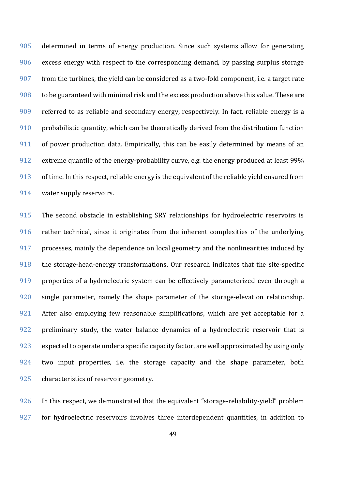determined in terms of energy production. Since such systems allow for generating excess energy with respect to the corresponding demand, by passing surplus storage from the turbines, the yield can be considered as a two-fold component, i.e. a target rate to be guaranteed with minimal risk and the excess production above this value. These are referred to as reliable and secondary energy, respectively. In fact, reliable energy is a probabilistic quantity, which can be theoretically derived from the distribution function of power production data. Empirically, this can be easily determined by means of an extreme quantile of the energy-probability curve, e.g. the energy produced at least 99% of time. In this respect, reliable energy is the equivalent of the reliable yield ensured from water supply reservoirs.

 The second obstacle in establishing SRY relationships for hydroelectric reservoirs is rather technical, since it originates from the inherent complexities of the underlying processes, mainly the dependence on local geometry and the nonlinearities induced by the storage-head-energy transformations. Our research indicates that the site-specific properties of a hydroelectric system can be effectively parameterized even through a single parameter, namely the shape parameter of the storage-elevation relationship. 921 After also employing few reasonable simplifications, which are yet acceptable for a 922 preliminary study, the water balance dynamics of a hydroelectric reservoir that is expected to operate under a specific capacity factor, are well approximated by using only 924 two input properties, i.e. the storage capacity and the shape parameter, both characteristics of reservoir geometry.

 In this respect, we demonstrated that the equivalent "storage-reliability-yield" problem for hydroelectric reservoirs involves three interdependent quantities, in addition to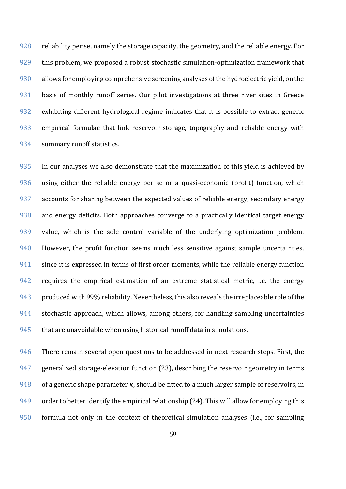928 reliability per se, namely the storage capacity, the geometry, and the reliable energy. For this problem, we proposed a robust stochastic simulation-optimization framework that allows for employing comprehensive screening analyses of the hydroelectric yield, on the basis of monthly runoff series. Our pilot investigations at three river sites in Greece exhibiting different hydrological regime indicates that it is possible to extract generic empirical formulae that link reservoir storage, topography and reliable energy with summary runoff statistics.

 In our analyses we also demonstrate that the maximization of this yield is achieved by using either the reliable energy per se or a quasi-economic (profit) function, which accounts for sharing between the expected values of reliable energy, secondary energy and energy deficits. Both approaches converge to a practically identical target energy value, which is the sole control variable of the underlying optimization problem. However, the profit function seems much less sensitive against sample uncertainties, 941 since it is expressed in terms of first order moments, while the reliable energy function 942 requires the empirical estimation of an extreme statistical metric, i.e. the energy produced with 99% reliability. Nevertheless, this also reveals the irreplaceable role of the 944 stochastic approach, which allows, among others, for handling sampling uncertainties that are unavoidable when using historical runoff data in simulations.

946 There remain several open questions to be addressed in next research steps. First, the generalized storage-elevation function [\(23\)](#page-34-1), describing the reservoir geometry in terms 948 of a generic shape parameter  $\kappa$ , should be fitted to a much larger sample of reservoirs, in order to better identify the empirical relationship [\(24\)](#page-35-0). This will allow for employing this formula not only in the context of theoretical simulation analyses (i.e., for sampling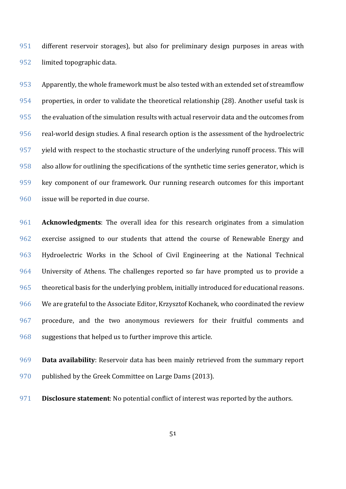different reservoir storages), but also for preliminary design purposes in areas with limited topographic data.

 Apparently, the whole framework must be also tested with an extended set of streamflow properties, in order to validate the theoretical relationship [\(28\).](#page-46-0) Another useful task is the evaluation of the simulation results with actual reservoir data and the outcomes from real-world design studies. A final research option is the assessment of the hydroelectric yield with respect to the stochastic structure of the underlying runoff process. This will also allow for outlining the specifications of the synthetic time series generator, which is key component of our framework. Our running research outcomes for this important issue will be reported in due course.

 **Acknowledgments**: The overall idea for this research originates from a simulation exercise assigned to our students that attend the course of Renewable Energy and Hydroelectric Works in the School of Civil Engineering at the National Technical University of Athens. The challenges reported so far have prompted us to provide a 965 theoretical basis for the underlying problem, initially introduced for educational reasons. We are grateful to the Associate Editor, Krzysztof Kochanek, who coordinated the review procedure, and the two anonymous reviewers for their fruitful comments and 968 suggestions that helped us to further improve this article.

 **Data availability**: Reservoir data has been mainly retrieved from the summary report published by the Greek Committee on Large Dams (2013).

**Disclosure statement**: No potential conflict of interest was reported by the authors.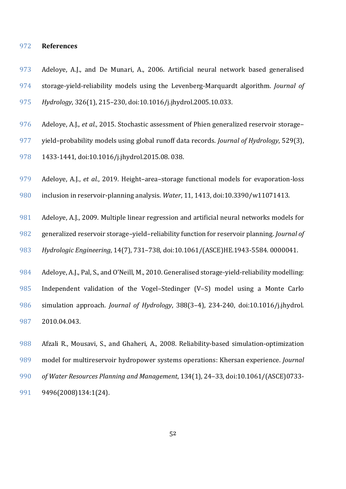### **References**

- Adeloye, A.J., and De Munari, A., 2006. Artificial neural network based generalised storage-yield-reliability models using the Levenberg-Marquardt algorithm. *Journal of Hydrology*, 326(1), 215–230, doi:10.1016/j.jhydrol.2005.10.033.
- Adeloye, A.J., *et al.*, 2015. Stochastic assessment of Phien generalized reservoir storage–
- yield–probability models using global runoff data records. *Journal of Hydrology*, 529(3),
- 1433-1441, doi:10.1016/j.jhydrol.2015.08. 038.
- Adeloye, A.J., *et al.*, 2019. Height–area–storage functional models for evaporation-loss
- inclusion in reservoir-planning analysis. *Water*, 11, 1413, doi:10.3390/w11071413.
- Adeloye, A.J., 2009. Multiple linear regression and artificial neural networks models for generalized reservoir storage–yield–reliability function for reservoir planning. *Journal of Hydrologic Engineering*, 14(7), 731–738, doi:10.1061/(ASCE)HE.1943-5584. 0000041.
- Adeloye, A.J., Pal, S., and O'Neill, M., 2010. Generalised storage-yield-reliability modelling:
- Independent validation of the Vogel–Stedinger (V–S) model using a Monte Carlo simulation approach. *Journal of Hydrology*, 388(3–4), 234-240, doi:10.1016/j.jhydrol. 2010.04.043.
- Afzali R., Mousavi, S., and Ghaheri, A., 2008. Reliability-based simulation-optimization model for multireservoir hydropower systems operations: Khersan experience. *Journal of Water Resources Planning and Management*, 134(1), 24–33, doi:10.1061/(ASCE)0733- 9496(2008)134:1(24).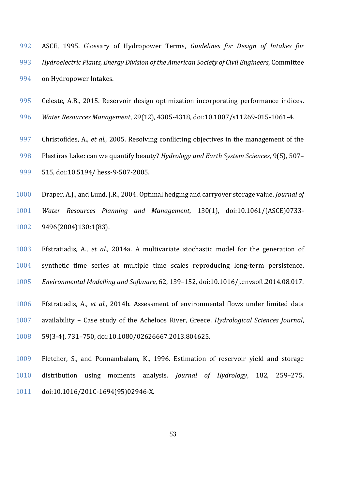- ASCE, 1995. Glossary of Hydropower Terms, *Guidelines for Design of Intakes for Hydroelectric Plants, Energy Division of the American Society of Civil Engineers*, Committee on Hydropower Intakes.
- Celeste, A.B., 2015. Reservoir design optimization incorporating performance indices.
- *Water Resources Management*, 29(12), 4305-4318, doi:10.1007/s11269-015-1061-4.
- Christofides, A., *et al.*, 2005. Resolving conflicting objectives in the management of the Plastiras Lake: can we quantify beauty? *Hydrology and Earth System Sciences*, 9(5), 507– 515, doi:10.5194/ hess-9-507-2005.
- Draper, A.J., and Lund, J.R., 2004. Optimal hedging and carryover storage value. *Journal of*
- *Water Resources Planning and Management*, 130(1), doi:10.1061/(ASCE)0733- 9496(2004)130:1(83).
- Efstratiadis, A., *et al.*, 2014a. A multivariate stochastic model for the generation of synthetic time series at multiple time scales reproducing long-term persistence. *Environmental Modelling and Software*, 62, 139–152, doi:10.1016/j.envsoft.2014.08.017.
- Efstratiadis, A., *et al.*, 2014b. Assessment of environmental flows under limited data availability – Case study of the Acheloos River, Greece. *Hydrological Sciences Journal*, 59(3-4), 731–750, doi:10.1080/02626667.2013.804625.
- Fletcher, S., and Ponnambalam, K., 1996. Estimation of reservoir yield and storage distribution using moments analysis. *Journal of Hydrology*, 182, 259–275. doi:10.1016/201C-1694(95)02946-X.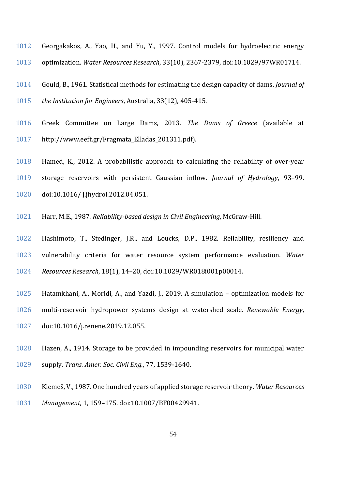- Georgakakos, A., Yao, H., and Yu, Y., 1997. Control models for hydroelectric energy optimization. *Water Resources Research*, 33(10), 2367-2379, doi:10.1029/97WR01714.
- Gould, B., 1961. Statistical methods for estimating the design capacity of dams. *Journal of the Institution for Engineers*, Australia, 33(12), 405-415.
- Greek Committee on Large Dams, 2013. *The Dams of Greece* (available at http://www.eeft.gr/Fragmata\_Elladas\_201311.pdf).
- Hamed, K., 2012. A probabilistic approach to calculating the reliability of over-year storage reservoirs with persistent Gaussian inflow. *Journal of Hydrology*, 93–99. doi:10.1016/ j.jhydrol.2012.04.051.
- Harr, M.E., 1987. *Reliability-based design in Civil Engineering*, McGraw-Hill.
- Hashimoto, T., Stedinger, J.R., and Loucks, D.P., 1982. Reliability, resiliency and vulnerability criteria for water resource system performance evaluation. *Water Resources Research*, 18(1), 14–20, doi:10.1029/WR018i001p00014.
- Hatamkhani, A., Moridi, A., and Yazdi, J., 2019. A simulation optimization models for
- multi-reservoir hydropower systems design at watershed scale. *Renewable Energy*, doi:10.1016/j.renene.2019.12.055.
- Hazen, A., 1914. Storage to be provided in impounding reservoirs for municipal water supply. *Trans. Amer. Soc. Civil Eng.*, 77, 1539-1640.
- Klemeš, V., 1987. One hundred years of applied storage reservoir theory. *Water Resources*
- *Management*, 1, 159–175. doi:10.1007/BF00429941.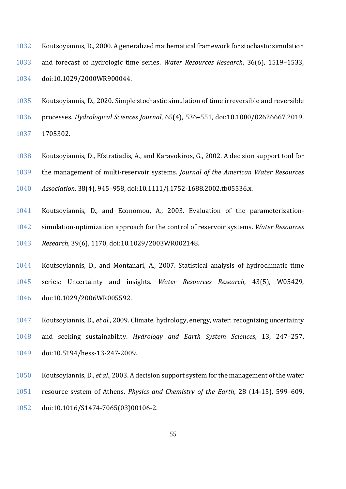- Koutsoyiannis, D., 2000. A generalized mathematical framework for stochastic simulation and forecast of hydrologic time series. *Water Resources Research*, 36(6), 1519–1533, doi:10.1029/2000WR900044.
- Koutsoyiannis, D., 2020. Simple stochastic simulation of time irreversible and reversible processes. *Hydrological Sciences Journal*, 65(4), 536–551, doi:10.1080/02626667.2019. 1705302.
- Koutsoyiannis, D., Efstratiadis, A., and Karavokiros, G., 2002. A decision support tool for the management of multi-reservoir systems. *Journal of the American Water Resources Association*, 38(4), 945–958, doi:10.1111/j.1752-1688.2002.tb05536.x.
- Koutsoyiannis, D., and Economou, A., 2003. Evaluation of the parameterization- simulation-optimization approach for the control of reservoir systems. *Water Resources Research*, 39(6), 1170, doi:10.1029/2003WR002148.
- Koutsoyiannis, D., and Montanari, A., 2007. Statistical analysis of hydroclimatic time series: Uncertainty and insights. *Water Resources Research*, 43(5), W05429, doi:10.1029/2006WR005592.
- Koutsoyiannis, D., *et al.*, 2009. Climate, hydrology, energy, water: recognizing uncertainty and seeking sustainability. *Hydrology and Earth System Sciences*, 13, 247–257, doi:10.5194/hess-13-247-2009.
- Koutsoyiannis, D., *et al.*, 2003. A decision support system for the management of the water resource system of Athens. *Physics and Chemistry of the Earth*, 28 (14-15), 599–609,
- doi:10.1016/S1474-7065(03)00106-2.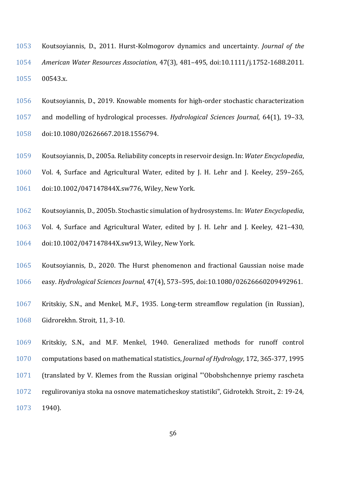- Koutsoyiannis, D., 2011. Hurst-Kolmogorov dynamics and uncertainty. *Journal of the American Water Resources Association*, 47(3), 481–495, doi:10.1111/j.1752-1688.2011. 00543.x.
- Koutsoyiannis, D., 2019. Knowable moments for high-order stochastic characterization
- and modelling of hydrological processes. *Hydrological Sciences Journal*, 64(1), 19–33,
- doi:10.1080/02626667.2018.1556794.
- Koutsoyiannis, D., 2005a. Reliability concepts in reservoir design. In: *Water Encyclopedia*,
- Vol. 4, Surface and Agricultural Water, edited by J. H. Lehr and J. Keeley, 259–265,
- doi:10.1002/047147844X.sw776, Wiley, New York.
- Koutsoyiannis, D., 2005b. Stochastic simulation of hydrosystems. In: *Water Encyclopedia*,
- Vol. 4, Surface and Agricultural Water, edited by J. H. Lehr and J. Keeley, 421–430, doi:10.1002/047147844X.sw913, Wiley, New York.
- Koutsoyiannis, D., 2020. The Hurst phenomenon and fractional Gaussian noise made easy. *Hydrological Sciences Journal*, 47(4), 573–595, doi:10.1080/02626660209492961.
- Kritskiy, S.N., and Menkel, M.F., 1935. Long-term streamflow regulation (in Russian), Gidrorekhn. Stroit, 11, 3-10.
- Kritskiy, S.N., and M.F. Menkel, 1940. Generalized methods for runoff control computations based on mathematical statistics, *Journal of Hydrology*, 172, 365-377, 1995 (translated by V. Klemes from the Russian original "'Obobshchennye priemy rascheta regulirovaniya stoka na osnove matematicheskoy statistiki", Gidrotekh. Stroit., 2: 19-24, 1940).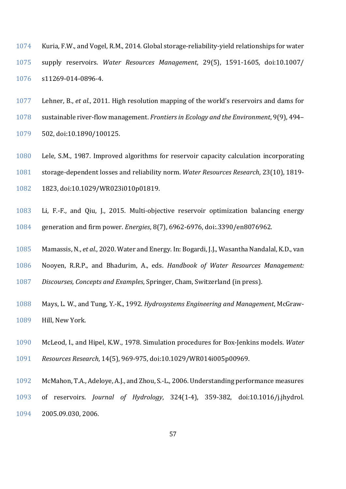- Kuria, F.W., and Vogel, R.M., 2014. Global storage-reliability-yield relationships for water supply reservoirs. *Water Resources Management*, 29(5), 1591-1605, doi:10.1007/ s11269-014-0896-4.
- Lehner, B., *et al.*, 2011. High resolution mapping of the world's reservoirs and dams for sustainable river-flow management. *Frontiers in Ecology and the Environment*, 9(9), 494– 502, doi:10.1890/100125.
- Lele, S.M., 1987. Improved algorithms for reservoir capacity calculation incorporating storage-dependent losses and reliability norm. *Water Resources Research*, 23(10), 1819- 1823, doi:10.1029/WR023i010p01819.
- Li, F.-F., and Qiu, J., 2015. Multi-objective reservoir optimization balancing energy generation and firm power. *Energies*, 8(7), 6962-6976, doi:.3390/en8076962.
- Mamassis, N., *et al.*, 2020. Water and Energy. In: Bogardi, J.J., Wasantha Nandalal, K.D., van
- Nooyen, R.R.P., and Bhadurim, A., eds. *Handbook of Water Resources Management:*
- *Discourses, Concepts and Examples*, Springer, Cham, Switzerland (in press).
- Mays, L. W., and Tung, Y.-K., 1992. *Hydrosystems Engineering and Management*, McGraw-Hill, New York.
- McLeod, I., and Hipel, K.W., 1978. Simulation procedures for Box-Jenkins models. *Water*
- *Resources Research*, 14(5), 969-975, doi:10.1029/WR014i005p00969.
- McMahon, T.A., Adeloye, A.J., and Zhou,S.-L., 2006. Understanding performance measures
- of reservoirs. *Journal of Hydrology*, 324(1-4), 359-382, doi:10.1016/j.jhydrol. 2005.09.030, 2006.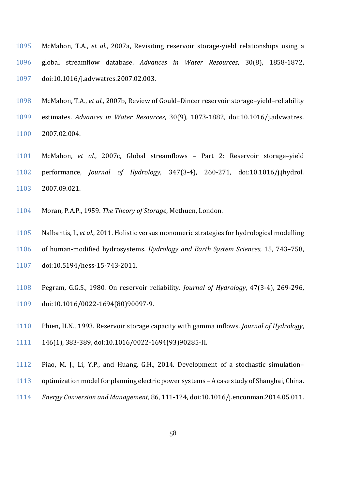- McMahon, T.A., *et al.*, 2007a, Revisiting reservoir storage-yield relationships using a global streamflow database. *Advances in Water Resources*, 30(8), 1858-1872, doi:10.1016/j.advwatres.2007.02.003.
- McMahon, T.A., *et al.*, 2007b, Review of Gould–Dincer reservoir storage–yield–reliability estimates. *Advances in Water Resources*, 30(9), 1873-1882, doi:10.1016/j.advwatres. 2007.02.004.
- McMahon, *et al.*, 2007c, Global streamflows Part 2: Reservoir storage–yield performance, *Journal of Hydrology*, 347(3-4), 260-271, doi:10.1016/j.jhydrol. 2007.09.021.
- Moran, P.A.P., 1959. *The Theory of Storage*, Methuen, London.
- Nalbantis, I., *et al.*, 2011. Holistic versus monomeric strategies for hydrological modelling of human-modified hydrosystems. *Hydrology and Earth System Sciences*, 15, 743–758, doi:10.5194/hess-15-743-2011.
- Pegram, G.G.S., 1980. On reservoir reliability. *Journal of Hydrology*, 47(3-4), 269-296, doi:10.1016/0022-1694(80)90097-9.
- Phien, H.N., 1993. Reservoir storage capacity with gamma inflows. *Journal of Hydrology*,
- 146(1), 383-389, doi:10.1016/0022-1694(93)90285-H.
- Piao, M. J., Li, Y.P., and Huang, G.H., 2014. Development of a stochastic simulation–
- optimization model for planning electric power systems A case study of Shanghai, China.
- *Energy Conversion and Management*, 86, 111-124, doi:10.1016/j.enconman.2014.05.011.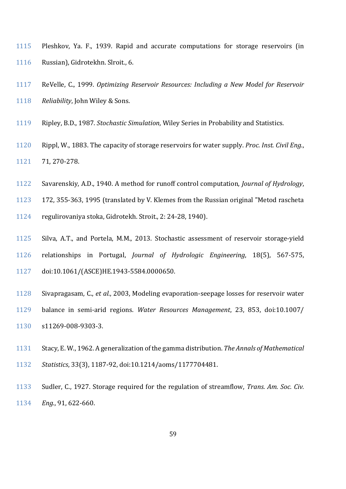- Pleshkov, Ya. F., 1939. Rapid and accurate computations for storage reservoirs (in Russian), Gidrotekhn. Slroit., 6.
- ReVelle, C., 1999. *Optimizing Reservoir Resources: Including a New Model for Reservoir Reliability*, John Wiley & Sons.
- Ripley, B.D., 1987. *Stochastic Simulation*, Wiley Series in Probability and Statistics.
- Rippl, W., 1883. The capacity of storage reservoirs for water supply. *Proc. Inst. Civil Eng.*, 71, 270-278.
- Savarenskiy, A.D., 1940. A method for runoff control computation, *Journal of Hydrology*,
- 172, 355-363, 1995 (translated by V. Klemes from the Russian original "Metod rascheta
- regulirovaniya stoka, Gidrotekh. Stroit., 2: 24-28, 1940).
- Silva, A.T., and Portela, M.M., 2013. Stochastic assessment of reservoir storage-yield relationships in Portugal, *Journal of Hydrologic Engineering*, 18(5), 567-575, doi:10.1061/(ASCE)HE.1943-5584.0000650.
- Sivapragasam, C., *et al.*, 2003, Modeling evaporation-seepage losses for reservoir water
- balance in semi-arid regions. *Water Resources Management*, 23, 853, doi:10.1007/ s11269-008-9303-3.
- Stacy, E. W., 1962. A generalization of the gamma distribution. *The Annals of Mathematical*
- *Statistics*, 33(3), 1187-92, doi:10.1214/aoms/1177704481.
- Sudler, C., 1927. Storage required for the regulation of streamflow, *Trans. Am. Soc. Civ. Eng.*, 91, 622-660.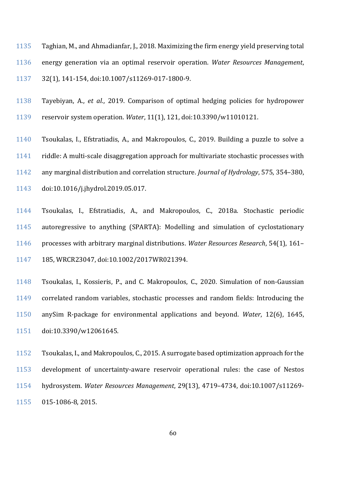Taghian, M., and Ahmadianfar, J., 2018. Maximizing the firm energy yield preserving total energy generation via an optimal reservoir operation. *Water Resources Management*, 32(1), 141-154, doi:10.1007/s11269-017-1800-9.

- Tayebiyan, A., *et al.*, 2019. Comparison of optimal hedging policies for hydropower reservoir system operation. *Water*, 11(1), 121, doi:10.3390/w11010121.
- Tsoukalas, I., Efstratiadis, A., and Makropoulos, C., 2019. Building a puzzle to solve a riddle: A multi-scale disaggregation approach for multivariate stochastic processes with any marginal distribution and correlation structure. *Journal of Hydrology*, 575, 354–380, doi:10.1016/j.jhydrol.2019.05.017.
- Tsoukalas, I., Efstratiadis, A., and Makropoulos, C., 2018a. Stochastic periodic autoregressive to anything (SPARTA): Modelling and simulation of cyclostationary processes with arbitrary marginal distributions. *Water Resources Research*, 54(1), 161– 185, WRCR23047, doi:10.1002/2017WR021394.
- Tsoukalas, I., Kossieris, P., and C. Makropoulos, C., 2020. Simulation of non-Gaussian correlated random variables, stochastic processes and random fields: Introducing the anySim R-package for environmental applications and beyond. *Water*, 12(6), 1645, doi:10.3390/w12061645.
- Tsoukalas, I., and Makropoulos, C., 2015. A surrogate based optimization approach for the development of uncertainty-aware reservoir operational rules: the case of Nestos hydrosystem. *Water Resources Management*, 29(13), 4719–4734, doi:10.1007/s11269- 015-1086-8, 2015.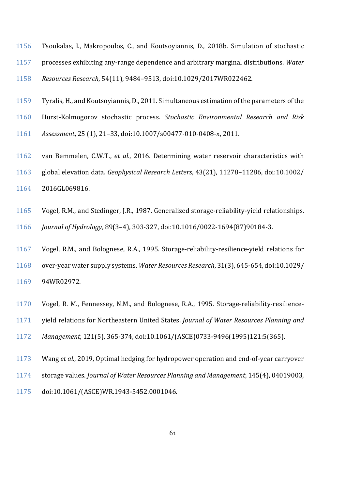- Tsoukalas, I., Makropoulos, C., and Koutsoyiannis, D., 2018b. Simulation of stochastic processes exhibiting any-range dependence and arbitrary marginal distributions. *Water Resources Research*, 54(11), 9484–9513, doi:10.1029/2017WR022462.
- Tyralis, H., and Koutsoyiannis, D., 2011. Simultaneous estimation of the parameters of the
- Hurst-Kolmogorov stochastic process. *Stochastic Environmental Research and Risk*
- *Assessment*, 25 (1), 21–33, doi:10.1007/s00477-010-0408-x, 2011.
- van Bemmelen, C.W.T., *et al.*, 2016. Determining water reservoir characteristics with
- global elevation data. *Geophysical Research Letters*, 43(21), 11278–11286, doi:10.1002/
- 2016GL069816.
- Vogel, R.M., and Stedinger, J.R., 1987. Generalized storage-reliability-yield relationships.
- *Journal of Hydrology*, 89(3–4), 303-327, doi:10.1016/0022-1694(87)90184-3.
- Vogel, R.M., and Bolognese, R.A., 1995. Storage‐reliability‐resilience‐yield relations for over‐year water supply systems. *Water Resources Research*, 31(3), 645-654, doi:10.1029/ 94WR02972.
- Vogel, R. M., Fennessey, N.M., and Bolognese, R.A., 1995. Storage-reliability-resilience-
- yield relations for Northeastern United States. *Journal of Water Resources Planning and*
- *Management*, 121(5), 365-374, doi:10.1061/(ASCE)0733-9496(1995)121:5(365).
- Wang *et al.*, 2019, Optimal hedging for hydropower operation and end-of-year carryover
- storage values. *Journal of Water Resources Planning and Management*, 145(4), 04019003,
- doi:10.1061/(ASCE)WR.1943-5452.0001046.